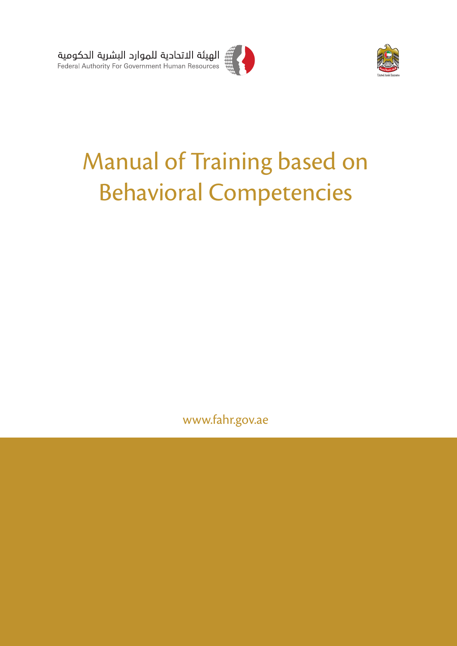



# Manual of Training based on Behavioral Competencies

www.fahr.gov.ae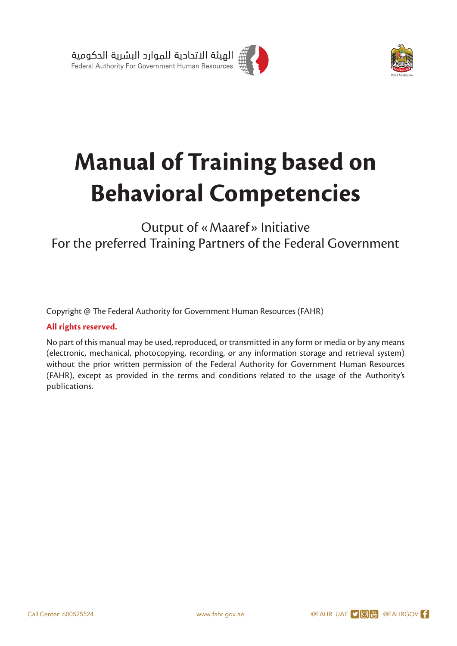



# **Manual of Training based on Behavioral Competencies**

# Output of « Maaref » Initiative<br>For the preferred Training Partners of the Federal Government Output of «Maaref» Initiative

Copyright @ The Federal Authority for Government Human Resources (FAHR)

#### **All rights reserved.**

No part of this manual may be used, reproduced, or transmitted in any form or media or by any means (electronic, mechanical, photocopying, recording, or any information storage and retrieval system) without the prior written permission of the Federal Authority for Government Human Resources (FAHR), except as provided in the terms and conditions related to the usage of the Authority's publications.

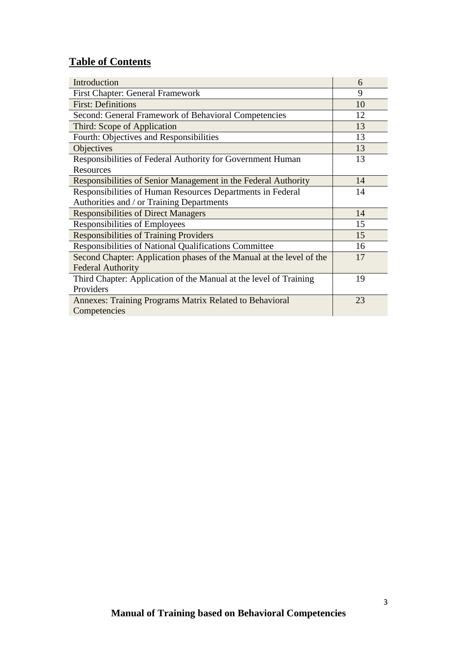# **Table of Contents**

| Introduction                                                         | 6  |
|----------------------------------------------------------------------|----|
| <b>First Chapter: General Framework</b>                              | 9  |
| <b>First: Definitions</b>                                            | 10 |
| Second: General Framework of Behavioral Competencies                 | 12 |
| Third: Scope of Application                                          | 13 |
| Fourth: Objectives and Responsibilities                              | 13 |
| Objectives                                                           | 13 |
| Responsibilities of Federal Authority for Government Human           | 13 |
| Resources                                                            |    |
| Responsibilities of Senior Management in the Federal Authority       | 14 |
| Responsibilities of Human Resources Departments in Federal           | 14 |
| Authorities and / or Training Departments                            |    |
| <b>Responsibilities of Direct Managers</b>                           | 14 |
| Responsibilities of Employees                                        | 15 |
| <b>Responsibilities of Training Providers</b>                        | 15 |
| Responsibilities of National Qualifications Committee                | 16 |
| Second Chapter: Application phases of the Manual at the level of the | 17 |
| <b>Federal Authority</b>                                             |    |
| Third Chapter: Application of the Manual at the level of Training    | 19 |
| Providers                                                            |    |
| Annexes: Training Programs Matrix Related to Behavioral              | 23 |
| Competencies                                                         |    |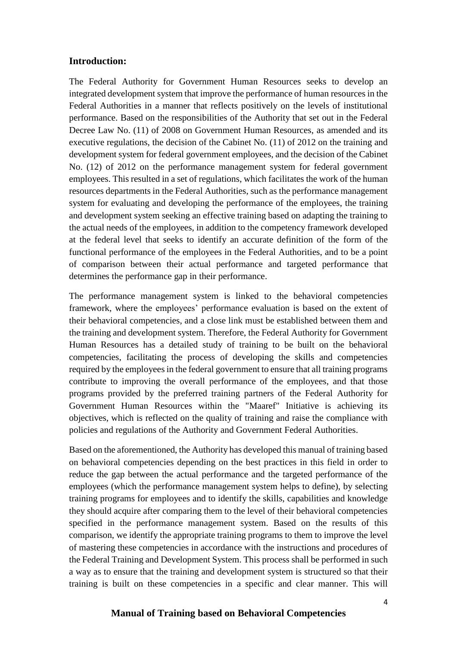#### **Introduction:**

The Federal Authority for Government Human Resources seeks to develop an integrated development system that improve the performance of human resources in the Federal Authorities in a manner that reflects positively on the levels of institutional performance. Based on the responsibilities of the Authority that set out in the Federal Decree Law No. (11) of 2008 on Government Human Resources, as amended and its executive regulations, the decision of the Cabinet No. (11) of 2012 on the training and development system for federal government employees, and the decision of the Cabinet No. (12) of 2012 on the performance management system for federal government employees. This resulted in a set of regulations, which facilitates the work of the human resources departments in the Federal Authorities, such as the performance management system for evaluating and developing the performance of the employees, the training and development system seeking an effective training based on adapting the training to the actual needs of the employees, in addition to the competency framework developed at the federal level that seeks to identify an accurate definition of the form of the functional performance of the employees in the Federal Authorities, and to be a point of comparison between their actual performance and targeted performance that determines the performance gap in their performance.

The performance management system is linked to the behavioral competencies framework, where the employees' performance evaluation is based on the extent of their behavioral competencies, and a close link must be established between them and the training and development system. Therefore, the Federal Authority for Government Human Resources has a detailed study of training to be built on the behavioral competencies, facilitating the process of developing the skills and competencies required by the employees in the federal government to ensure that all training programs contribute to improving the overall performance of the employees, and that those programs provided by the preferred training partners of the Federal Authority for Government Human Resources within the "Maaref" Initiative is achieving its objectives, which is reflected on the quality of training and raise the compliance with policies and regulations of the Authority and Government Federal Authorities.

Based on the aforementioned, the Authority has developed this manual of training based on behavioral competencies depending on the best practices in this field in order to reduce the gap between the actual performance and the targeted performance of the employees (which the performance management system helps to define), by selecting training programs for employees and to identify the skills, capabilities and knowledge they should acquire after comparing them to the level of their behavioral competencies specified in the performance management system. Based on the results of this comparison, we identify the appropriate training programs to them to improve the level of mastering these competencies in accordance with the instructions and procedures of the Federal Training and Development System. This process shall be performed in such a way as to ensure that the training and development system is structured so that their training is built on these competencies in a specific and clear manner. This will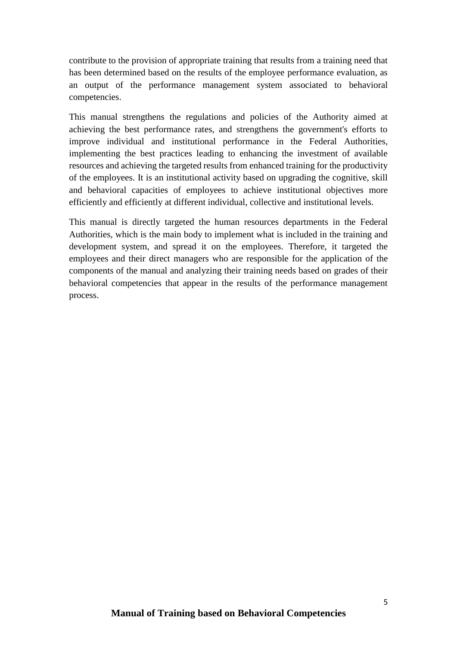contribute to the provision of appropriate training that results from a training need that has been determined based on the results of the employee performance evaluation, as an output of the performance management system associated to behavioral competencies.

This manual strengthens the regulations and policies of the Authority aimed at achieving the best performance rates, and strengthens the government's efforts to improve individual and institutional performance in the Federal Authorities, implementing the best practices leading to enhancing the investment of available resources and achieving the targeted results from enhanced training for the productivity of the employees. It is an institutional activity based on upgrading the cognitive, skill and behavioral capacities of employees to achieve institutional objectives more efficiently and efficiently at different individual, collective and institutional levels.

This manual is directly targeted the human resources departments in the Federal Authorities, which is the main body to implement what is included in the training and development system, and spread it on the employees. Therefore, it targeted the employees and their direct managers who are responsible for the application of the components of the manual and analyzing their training needs based on grades of their behavioral competencies that appear in the results of the performance management process.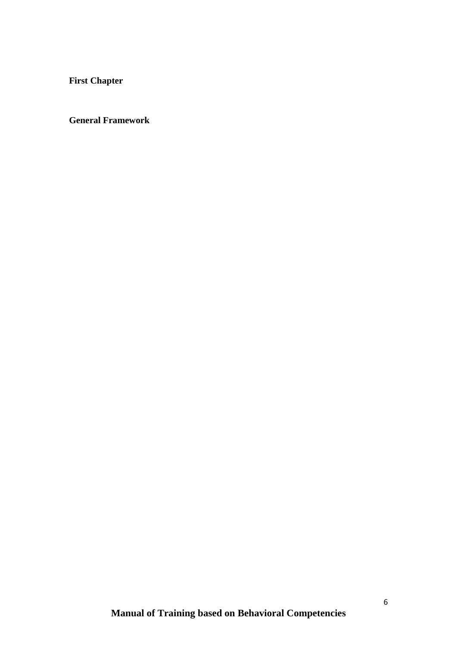**First Chapter** 

**General Framework**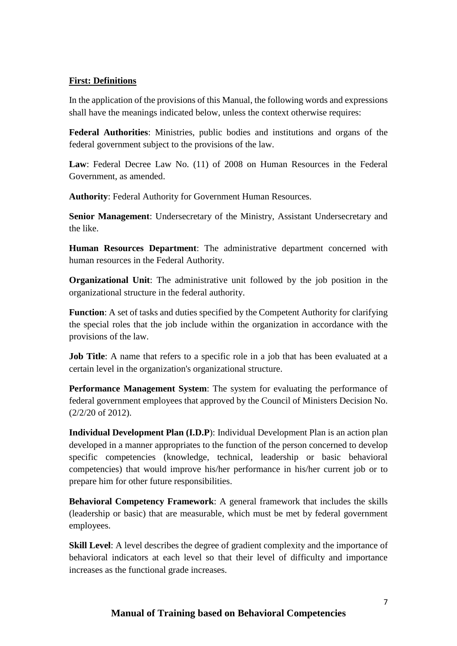#### **First: Definitions**

In the application of the provisions of this Manual, the following words and expressions shall have the meanings indicated below, unless the context otherwise requires:

**Federal Authorities**: Ministries, public bodies and institutions and organs of the federal government subject to the provisions of the law.

**Law**: Federal Decree Law No. (11) of 2008 on Human Resources in the Federal Government, as amended.

**Authority**: Federal Authority for Government Human Resources.

**Senior Management**: Undersecretary of the Ministry, Assistant Undersecretary and the like.

**Human Resources Department**: The administrative department concerned with human resources in the Federal Authority.

**Organizational Unit**: The administrative unit followed by the job position in the organizational structure in the federal authority.

**Function**: A set of tasks and duties specified by the Competent Authority for clarifying the special roles that the job include within the organization in accordance with the provisions of the law.

**Job Title**: A name that refers to a specific role in a job that has been evaluated at a certain level in the organization's organizational structure.

**Performance Management System**: The system for evaluating the performance of federal government employees that approved by the Council of Ministers Decision No. (2/2/20 of 2012).

**Individual Development Plan (I.D.P**): Individual Development Plan is an action plan developed in a manner appropriates to the function of the person concerned to develop specific competencies (knowledge, technical, leadership or basic behavioral competencies) that would improve his/her performance in his/her current job or to prepare him for other future responsibilities.

**Behavioral Competency Framework**: A general framework that includes the skills (leadership or basic) that are measurable, which must be met by federal government employees.

**Skill Level**: A level describes the degree of gradient complexity and the importance of behavioral indicators at each level so that their level of difficulty and importance increases as the functional grade increases.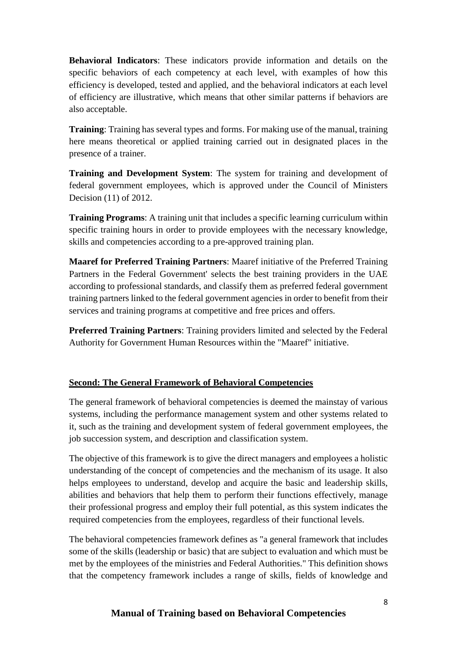**Behavioral Indicators**: These indicators provide information and details on the specific behaviors of each competency at each level, with examples of how this efficiency is developed, tested and applied, and the behavioral indicators at each level of efficiency are illustrative, which means that other similar patterns if behaviors are also acceptable.

**Training**: Training has several types and forms. For making use of the manual, training here means theoretical or applied training carried out in designated places in the presence of a trainer.

**Training and Development System**: The system for training and development of federal government employees, which is approved under the Council of Ministers Decision (11) of 2012.

**Training Programs**: A training unit that includes a specific learning curriculum within specific training hours in order to provide employees with the necessary knowledge, skills and competencies according to a pre-approved training plan.

**Maaref for Preferred Training Partners**: Maaref initiative of the Preferred Training Partners in the Federal Government' selects the best training providers in the UAE according to professional standards, and classify them as preferred federal government training partners linked to the federal government agencies in order to benefit from their services and training programs at competitive and free prices and offers.

**Preferred Training Partners**: Training providers limited and selected by the Federal Authority for Government Human Resources within the "Maaref" initiative.

# **Second: The General Framework of Behavioral Competencies**

The general framework of behavioral competencies is deemed the mainstay of various systems, including the performance management system and other systems related to it, such as the training and development system of federal government employees, the job succession system, and description and classification system.

The objective of this framework is to give the direct managers and employees a holistic understanding of the concept of competencies and the mechanism of its usage. It also helps employees to understand, develop and acquire the basic and leadership skills, abilities and behaviors that help them to perform their functions effectively, manage their professional progress and employ their full potential, as this system indicates the required competencies from the employees, regardless of their functional levels.

The behavioral competencies framework defines as "a general framework that includes some of the skills (leadership or basic) that are subject to evaluation and which must be met by the employees of the ministries and Federal Authorities." This definition shows that the competency framework includes a range of skills, fields of knowledge and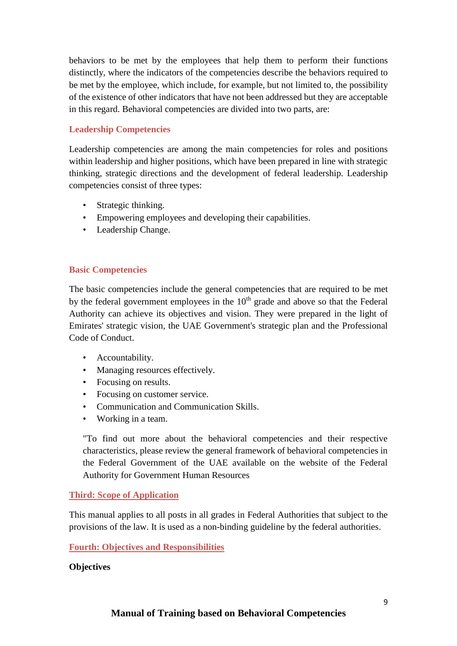behaviors to be met by the employees that help them to perform their functions distinctly, where the indicators of the competencies describe the behaviors required to be met by the employee, which include, for example, but not limited to, the possibility of the existence of other indicators that have not been addressed but they are acceptable in this regard. Behavioral competencies are divided into two parts, are:

## **Leadership Competencies**

Leadership competencies are among the main competencies for roles and positions within leadership and higher positions, which have been prepared in line with strategic thinking, strategic directions and the development of federal leadership. Leadership competencies consist of three types:

- Strategic thinking.
- Empowering employees and developing their capabilities.
- Leadership Change.

#### **Basic Competencies**

The basic competencies include the general competencies that are required to be met by the federal government employees in the  $10<sup>th</sup>$  grade and above so that the Federal Authority can achieve its objectives and vision. They were prepared in the light of Emirates' strategic vision, the UAE Government's strategic plan and the Professional Code of Conduct.

- Accountability.
- Managing resources effectively.
- Focusing on results.
- Focusing on customer service.
- Communication and Communication Skills.
- Working in a team.

"To find out more about the behavioral competencies and their respective characteristics, please review the general framework of behavioral competencies in the Federal Government of the UAE available on the website of the Federal Authority for Government Human Resources

#### **Third: Scope of Application**

This manual applies to all posts in all grades in Federal Authorities that subject to the provisions of the law. It is used as a non-binding guideline by the federal authorities.

#### **Fourth: Objectives and Responsibilities**

#### **Objectives**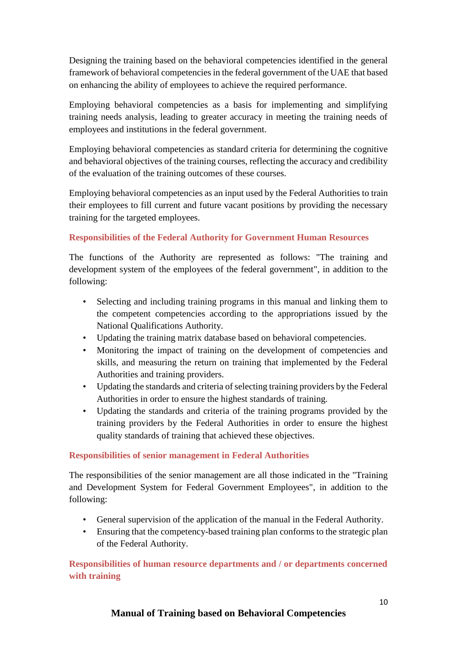Designing the training based on the behavioral competencies identified in the general framework of behavioral competencies in the federal government of the UAE that based on enhancing the ability of employees to achieve the required performance.

Employing behavioral competencies as a basis for implementing and simplifying training needs analysis, leading to greater accuracy in meeting the training needs of employees and institutions in the federal government.

Employing behavioral competencies as standard criteria for determining the cognitive and behavioral objectives of the training courses, reflecting the accuracy and credibility of the evaluation of the training outcomes of these courses.

Employing behavioral competencies as an input used by the Federal Authorities to train their employees to fill current and future vacant positions by providing the necessary training for the targeted employees.

# **Responsibilities of the Federal Authority for Government Human Resources**

The functions of the Authority are represented as follows: "The training and development system of the employees of the federal government", in addition to the following:

- Selecting and including training programs in this manual and linking them to the competent competencies according to the appropriations issued by the National Qualifications Authority.
- Updating the training matrix database based on behavioral competencies.
- Monitoring the impact of training on the development of competencies and skills, and measuring the return on training that implemented by the Federal Authorities and training providers.
- Updating the standards and criteria of selecting training providers by the Federal Authorities in order to ensure the highest standards of training.
- Updating the standards and criteria of the training programs provided by the training providers by the Federal Authorities in order to ensure the highest quality standards of training that achieved these objectives.

# **Responsibilities of senior management in Federal Authorities**

The responsibilities of the senior management are all those indicated in the "Training and Development System for Federal Government Employees", in addition to the following:

- General supervision of the application of the manual in the Federal Authority.
- Ensuring that the competency-based training plan conforms to the strategic plan of the Federal Authority.

**Responsibilities of human resource departments and / or departments concerned with training**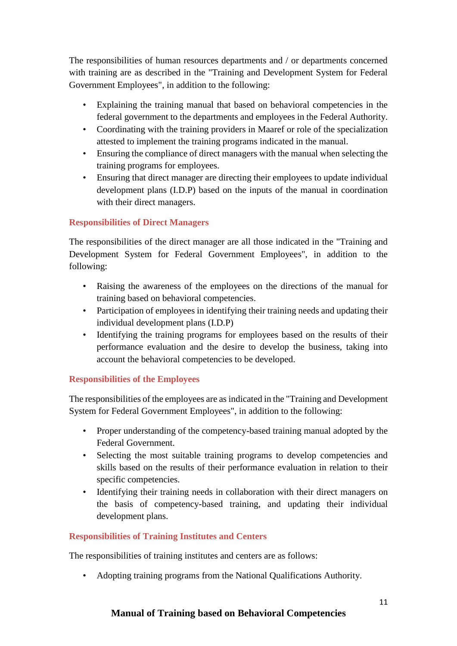The responsibilities of human resources departments and / or departments concerned with training are as described in the "Training and Development System for Federal Government Employees", in addition to the following:

- Explaining the training manual that based on behavioral competencies in the federal government to the departments and employees in the Federal Authority.
- Coordinating with the training providers in Maaref or role of the specialization attested to implement the training programs indicated in the manual.
- Ensuring the compliance of direct managers with the manual when selecting the training programs for employees.
- Ensuring that direct manager are directing their employees to update individual development plans (I.D.P) based on the inputs of the manual in coordination with their direct managers.

# **Responsibilities of Direct Managers**

The responsibilities of the direct manager are all those indicated in the "Training and Development System for Federal Government Employees", in addition to the following:

- Raising the awareness of the employees on the directions of the manual for training based on behavioral competencies.
- Participation of employees in identifying their training needs and updating their individual development plans (I.D.P)
- Identifying the training programs for employees based on the results of their performance evaluation and the desire to develop the business, taking into account the behavioral competencies to be developed.

# **Responsibilities of the Employees**

The responsibilities of the employees are as indicated in the "Training and Development System for Federal Government Employees", in addition to the following:

- Proper understanding of the competency-based training manual adopted by the Federal Government.
- Selecting the most suitable training programs to develop competencies and skills based on the results of their performance evaluation in relation to their specific competencies.
- Identifying their training needs in collaboration with their direct managers on the basis of competency-based training, and updating their individual development plans.

# **Responsibilities of Training Institutes and Centers**

The responsibilities of training institutes and centers are as follows:

• Adopting training programs from the National Qualifications Authority.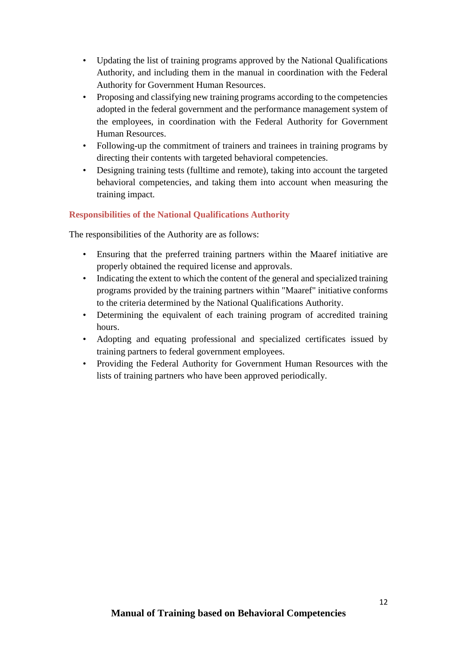- Updating the list of training programs approved by the National Qualifications Authority, and including them in the manual in coordination with the Federal Authority for Government Human Resources.
- Proposing and classifying new training programs according to the competencies adopted in the federal government and the performance management system of the employees, in coordination with the Federal Authority for Government Human Resources.
- Following-up the commitment of trainers and trainees in training programs by directing their contents with targeted behavioral competencies.
- Designing training tests (fulltime and remote), taking into account the targeted behavioral competencies, and taking them into account when measuring the training impact.

# **Responsibilities of the National Qualifications Authority**

The responsibilities of the Authority are as follows:

- Ensuring that the preferred training partners within the Maaref initiative are properly obtained the required license and approvals.
- Indicating the extent to which the content of the general and specialized training programs provided by the training partners within "Maaref" initiative conforms to the criteria determined by the National Qualifications Authority.
- Determining the equivalent of each training program of accredited training hours.
- Adopting and equating professional and specialized certificates issued by training partners to federal government employees.
- Providing the Federal Authority for Government Human Resources with the lists of training partners who have been approved periodically.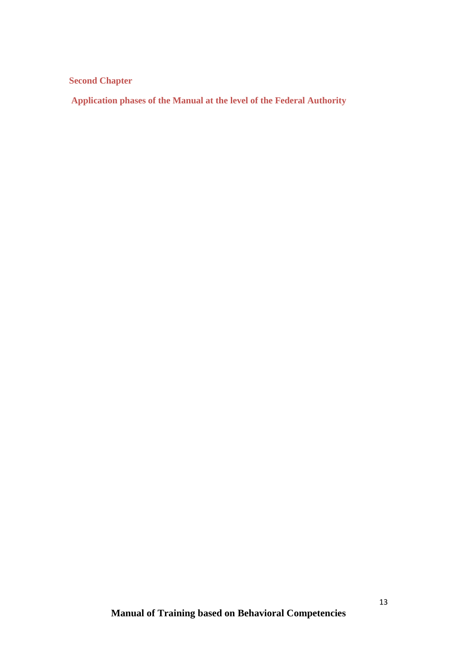**Second Chapter**

**Application phases of the Manual at the level of the Federal Authority**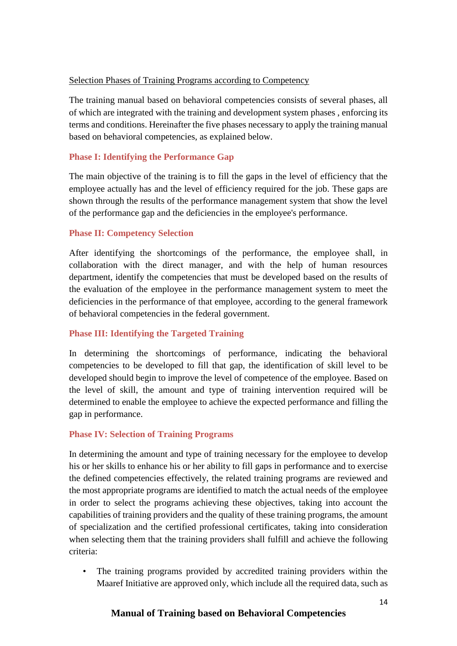#### Selection Phases of Training Programs according to Competency

The training manual based on behavioral competencies consists of several phases, all of which are integrated with the training and development system phases , enforcing its terms and conditions. Hereinafter the five phases necessary to apply the training manual based on behavioral competencies, as explained below.

#### **Phase I: Identifying the Performance Gap**

The main objective of the training is to fill the gaps in the level of efficiency that the employee actually has and the level of efficiency required for the job. These gaps are shown through the results of the performance management system that show the level of the performance gap and the deficiencies in the employee's performance.

#### **Phase II: Competency Selection**

After identifying the shortcomings of the performance, the employee shall, in collaboration with the direct manager, and with the help of human resources department, identify the competencies that must be developed based on the results of the evaluation of the employee in the performance management system to meet the deficiencies in the performance of that employee, according to the general framework of behavioral competencies in the federal government.

# **Phase III: Identifying the Targeted Training**

In determining the shortcomings of performance, indicating the behavioral competencies to be developed to fill that gap, the identification of skill level to be developed should begin to improve the level of competence of the employee. Based on the level of skill, the amount and type of training intervention required will be determined to enable the employee to achieve the expected performance and filling the gap in performance.

#### **Phase IV: Selection of Training Programs**

In determining the amount and type of training necessary for the employee to develop his or her skills to enhance his or her ability to fill gaps in performance and to exercise the defined competencies effectively, the related training programs are reviewed and the most appropriate programs are identified to match the actual needs of the employee in order to select the programs achieving these objectives, taking into account the capabilities of training providers and the quality of these training programs, the amount of specialization and the certified professional certificates, taking into consideration when selecting them that the training providers shall fulfill and achieve the following criteria:

The training programs provided by accredited training providers within the Maaref Initiative are approved only, which include all the required data, such as

# **Manual of Training based on Behavioral Competencies**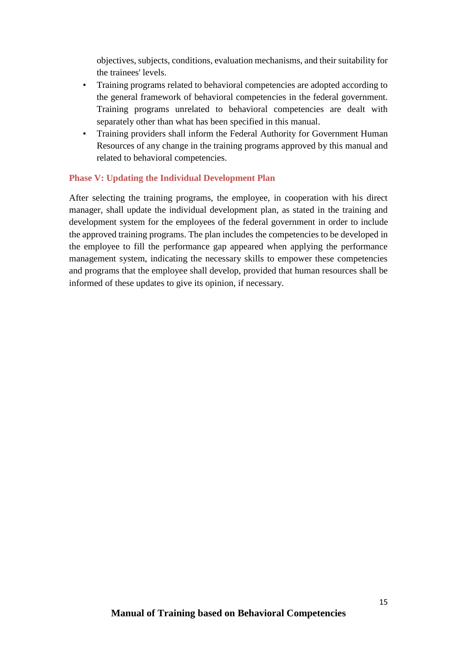objectives, subjects, conditions, evaluation mechanisms, and their suitability for the trainees' levels.

- Training programs related to behavioral competencies are adopted according to the general framework of behavioral competencies in the federal government. Training programs unrelated to behavioral competencies are dealt with separately other than what has been specified in this manual.
- Training providers shall inform the Federal Authority for Government Human Resources of any change in the training programs approved by this manual and related to behavioral competencies.

#### **Phase V: Updating the Individual Development Plan**

After selecting the training programs, the employee, in cooperation with his direct manager, shall update the individual development plan, as stated in the training and development system for the employees of the federal government in order to include the approved training programs. The plan includes the competencies to be developed in the employee to fill the performance gap appeared when applying the performance management system, indicating the necessary skills to empower these competencies and programs that the employee shall develop, provided that human resources shall be informed of these updates to give its opinion, if necessary.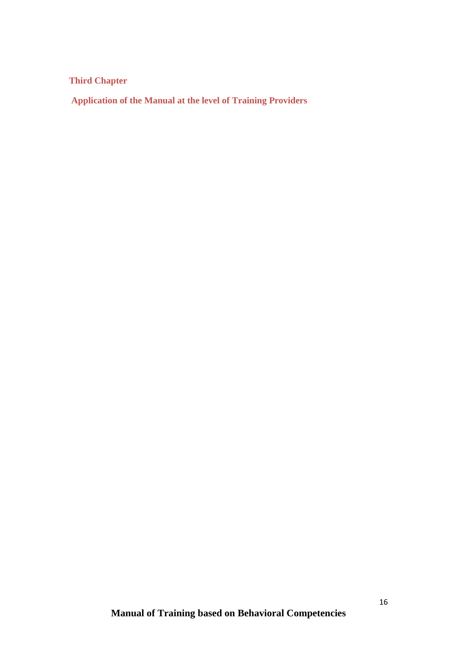**Third Chapter**

**Application of the Manual at the level of Training Providers**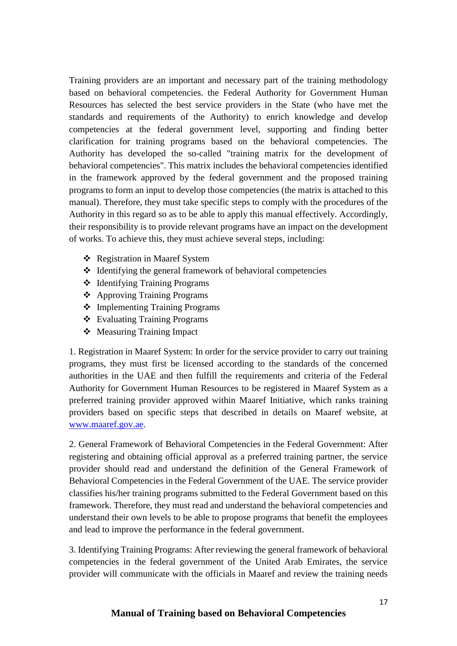Training providers are an important and necessary part of the training methodology based on behavioral competencies. the Federal Authority for Government Human Resources has selected the best service providers in the State (who have met the standards and requirements of the Authority) to enrich knowledge and develop competencies at the federal government level, supporting and finding better clarification for training programs based on the behavioral competencies. The Authority has developed the so-called "training matrix for the development of behavioral competencies". This matrix includes the behavioral competencies identified in the framework approved by the federal government and the proposed training programs to form an input to develop those competencies (the matrix is attached to this manual). Therefore, they must take specific steps to comply with the procedures of the Authority in this regard so as to be able to apply this manual effectively. Accordingly, their responsibility is to provide relevant programs have an impact on the development of works. To achieve this, they must achieve several steps, including:

- Registration in Maaref System
- $\triangleleft$  Identifying the general framework of behavioral competencies
- Identifying Training Programs
- Approving Training Programs
- Implementing Training Programs
- Evaluating Training Programs
- Measuring Training Impact

1. Registration in Maaref System: In order for the service provider to carry out training programs, they must first be licensed according to the standards of the concerned authorities in the UAE and then fulfill the requirements and criteria of the Federal Authority for Government Human Resources to be registered in Maaref System as a preferred training provider approved within Maaref Initiative, which ranks training providers based on specific steps that described in details on Maaref website, at [www.maaref.gov.ae.](http://www.maaref.gov.ae/)

2. General Framework of Behavioral Competencies in the Federal Government: After registering and obtaining official approval as a preferred training partner, the service provider should read and understand the definition of the General Framework of Behavioral Competencies in the Federal Government of the UAE. The service provider classifies his/her training programs submitted to the Federal Government based on this framework. Therefore, they must read and understand the behavioral competencies and understand their own levels to be able to propose programs that benefit the employees and lead to improve the performance in the federal government.

3. Identifying Training Programs: After reviewing the general framework of behavioral competencies in the federal government of the United Arab Emirates, the service provider will communicate with the officials in Maaref and review the training needs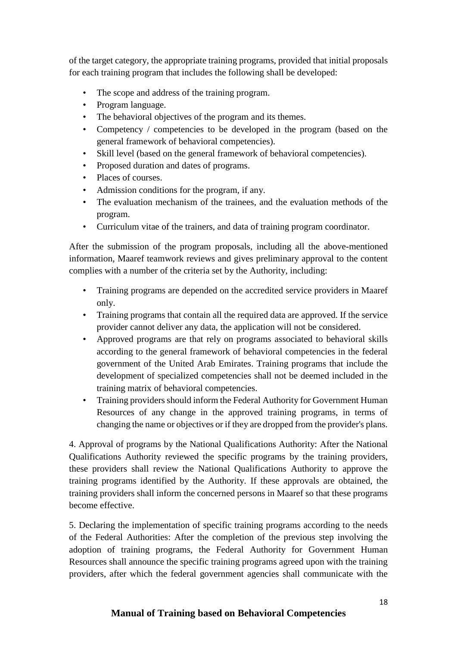of the target category, the appropriate training programs, provided that initial proposals for each training program that includes the following shall be developed:

- The scope and address of the training program.
- Program language.
- The behavioral objectives of the program and its themes.
- Competency / competencies to be developed in the program (based on the general framework of behavioral competencies).
- Skill level (based on the general framework of behavioral competencies).
- Proposed duration and dates of programs.
- Places of courses.
- Admission conditions for the program, if any.
- The evaluation mechanism of the trainees, and the evaluation methods of the program.
- Curriculum vitae of the trainers, and data of training program coordinator.

After the submission of the program proposals, including all the above-mentioned information, Maaref teamwork reviews and gives preliminary approval to the content complies with a number of the criteria set by the Authority, including:

- Training programs are depended on the accredited service providers in Maaref only.
- Training programs that contain all the required data are approved. If the service provider cannot deliver any data, the application will not be considered.
- Approved programs are that rely on programs associated to behavioral skills according to the general framework of behavioral competencies in the federal government of the United Arab Emirates. Training programs that include the development of specialized competencies shall not be deemed included in the training matrix of behavioral competencies.
- Training providers should inform the Federal Authority for Government Human Resources of any change in the approved training programs, in terms of changing the name or objectives or if they are dropped from the provider's plans.

4. Approval of programs by the National Qualifications Authority: After the National Qualifications Authority reviewed the specific programs by the training providers, these providers shall review the National Qualifications Authority to approve the training programs identified by the Authority. If these approvals are obtained, the training providers shall inform the concerned persons in Maaref so that these programs become effective.

5. Declaring the implementation of specific training programs according to the needs of the Federal Authorities: After the completion of the previous step involving the adoption of training programs, the Federal Authority for Government Human Resources shall announce the specific training programs agreed upon with the training providers, after which the federal government agencies shall communicate with the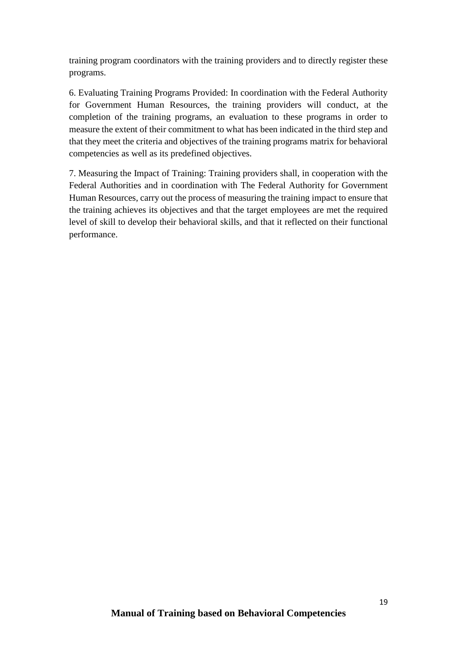training program coordinators with the training providers and to directly register these programs.

6. Evaluating Training Programs Provided: In coordination with the Federal Authority for Government Human Resources, the training providers will conduct, at the completion of the training programs, an evaluation to these programs in order to measure the extent of their commitment to what has been indicated in the third step and that they meet the criteria and objectives of the training programs matrix for behavioral competencies as well as its predefined objectives.

7. Measuring the Impact of Training: Training providers shall, in cooperation with the Federal Authorities and in coordination with The Federal Authority for Government Human Resources, carry out the process of measuring the training impact to ensure that the training achieves its objectives and that the target employees are met the required level of skill to develop their behavioral skills, and that it reflected on their functional performance.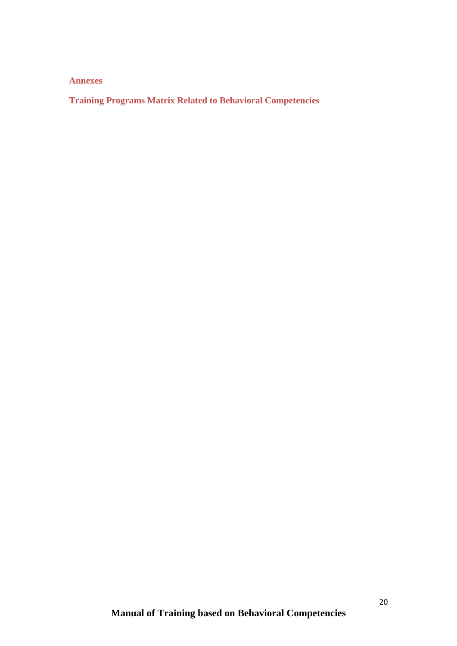**Annexes**

**Training Programs Matrix Related to Behavioral Competencies**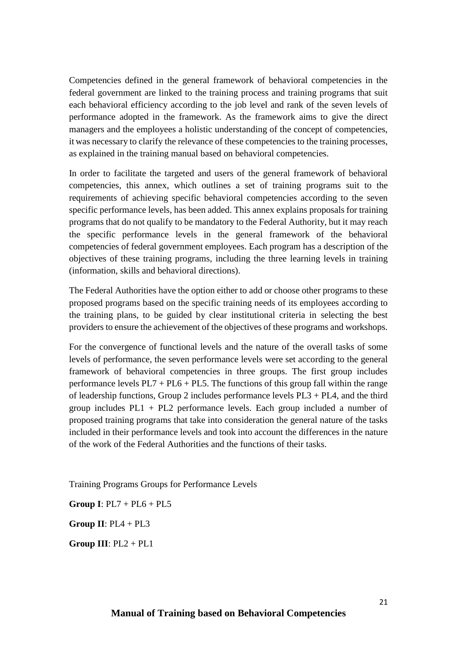Competencies defined in the general framework of behavioral competencies in the federal government are linked to the training process and training programs that suit each behavioral efficiency according to the job level and rank of the seven levels of performance adopted in the framework. As the framework aims to give the direct managers and the employees a holistic understanding of the concept of competencies, it was necessary to clarify the relevance of these competencies to the training processes, as explained in the training manual based on behavioral competencies.

In order to facilitate the targeted and users of the general framework of behavioral competencies, this annex, which outlines a set of training programs suit to the requirements of achieving specific behavioral competencies according to the seven specific performance levels, has been added. This annex explains proposals for training programs that do not qualify to be mandatory to the Federal Authority, but it may reach the specific performance levels in the general framework of the behavioral competencies of federal government employees. Each program has a description of the objectives of these training programs, including the three learning levels in training (information, skills and behavioral directions).

The Federal Authorities have the option either to add or choose other programs to these proposed programs based on the specific training needs of its employees according to the training plans, to be guided by clear institutional criteria in selecting the best providers to ensure the achievement of the objectives of these programs and workshops.

For the convergence of functional levels and the nature of the overall tasks of some levels of performance, the seven performance levels were set according to the general framework of behavioral competencies in three groups. The first group includes performance levels  $PL7 + PL6 + PL5$ . The functions of this group fall within the range of leadership functions, Group 2 includes performance levels PL3 + PL4, and the third group includes PL1 + PL2 performance levels. Each group included a number of proposed training programs that take into consideration the general nature of the tasks included in their performance levels and took into account the differences in the nature of the work of the Federal Authorities and the functions of their tasks.

Training Programs Groups for Performance Levels

**Group I**: PL7 + PL6 + PL5

**Group II**: PL4 + PL3

**Group III**: PL2 + PL1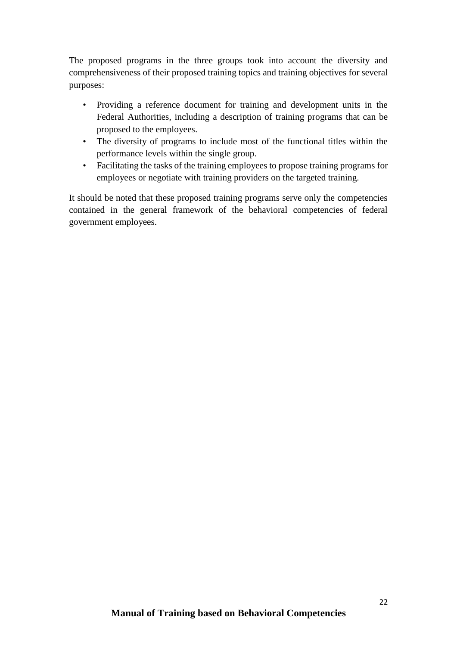The proposed programs in the three groups took into account the diversity and comprehensiveness of their proposed training topics and training objectives for several purposes:

- Providing a reference document for training and development units in the Federal Authorities, including a description of training programs that can be proposed to the employees.
- The diversity of programs to include most of the functional titles within the performance levels within the single group.
- Facilitating the tasks of the training employees to propose training programs for employees or negotiate with training providers on the targeted training.

It should be noted that these proposed training programs serve only the competencies contained in the general framework of the behavioral competencies of federal government employees.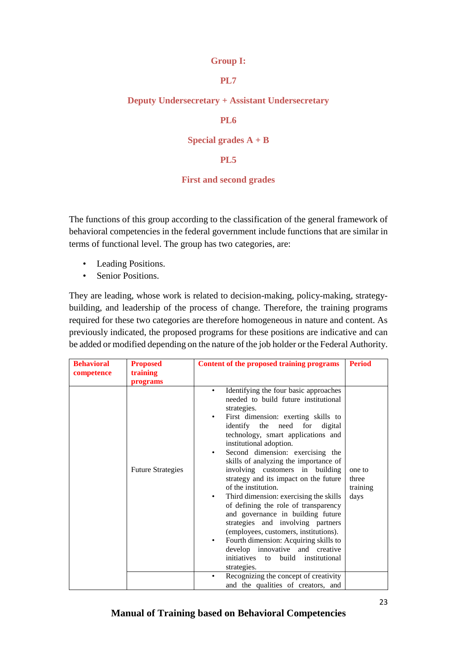#### **Group I:**

### **PL7**

#### **Deputy Undersecretary + Assistant Undersecretary**

#### **PL6**

#### **Special grades A + B**

#### **PL5**

#### **First and second grades**

The functions of this group according to the classification of the general framework of behavioral competencies in the federal government include functions that are similar in terms of functional level. The group has two categories, are:

- Leading Positions.
- Senior Positions.

They are leading, whose work is related to decision-making, policy-making, strategybuilding, and leadership of the process of change. Therefore, the training programs required for these two categories are therefore homogeneous in nature and content. As previously indicated, the proposed programs for these positions are indicative and can be added or modified depending on the nature of the job holder or the Federal Authority.

| <b>Behavioral</b> | <b>Proposed</b>          | <b>Content of the proposed training programs</b>                                                                                                                                                                                                                                                                                                                                                                                                                                                                                                                                                                                                                                                                                                                                                         | <b>Period</b>                       |
|-------------------|--------------------------|----------------------------------------------------------------------------------------------------------------------------------------------------------------------------------------------------------------------------------------------------------------------------------------------------------------------------------------------------------------------------------------------------------------------------------------------------------------------------------------------------------------------------------------------------------------------------------------------------------------------------------------------------------------------------------------------------------------------------------------------------------------------------------------------------------|-------------------------------------|
| competence        | training<br>programs     |                                                                                                                                                                                                                                                                                                                                                                                                                                                                                                                                                                                                                                                                                                                                                                                                          |                                     |
|                   | <b>Future Strategies</b> | Identifying the four basic approaches<br>$\bullet$<br>needed to build future institutional<br>strategies.<br>First dimension: exerting skills to<br>٠<br>identify the need<br>for<br>digital<br>technology, smart applications and<br>institutional adoption.<br>Second dimension: exercising the<br>٠<br>skills of analyzing the importance of<br>involving customers in building<br>strategy and its impact on the future<br>of the institution.<br>Third dimension: exercising the skills<br>$\bullet$<br>of defining the role of transparency<br>and governance in building future<br>strategies and involving partners<br>(employees, customers, institutions).<br>Fourth dimension: Acquiring skills to<br>develop innovative and creative<br>initiatives to<br>build institutional<br>strategies. | one to<br>three<br>training<br>days |
|                   |                          | Recognizing the concept of creativity<br>and the qualities of creators, and                                                                                                                                                                                                                                                                                                                                                                                                                                                                                                                                                                                                                                                                                                                              |                                     |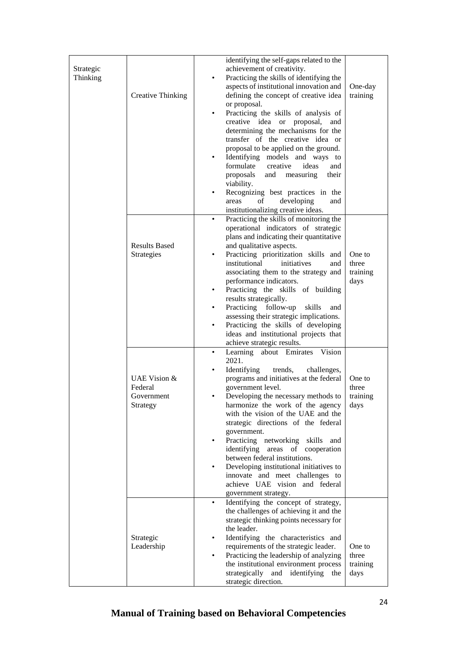| Strategic<br>Thinking | <b>Creative Thinking</b>                          | identifying the self-gaps related to the<br>achievement of creativity.<br>Practicing the skills of identifying the<br>$\bullet$<br>aspects of institutional innovation and<br>defining the concept of creative idea<br>or proposal.<br>Practicing the skills of analysis of<br>$\bullet$<br>creative idea or proposal, and<br>determining the mechanisms for the<br>transfer of the creative idea or<br>proposal to be applied on the ground.<br>Identifying models and ways to<br>$\bullet$<br>formulate<br>creative<br>ideas<br>and<br>proposals<br>measuring<br>and<br>their<br>viability.<br>Recognizing best practices in the<br>developing<br>οf<br>and<br>areas<br>institutionalizing creative ideas. | One-day<br>training                 |
|-----------------------|---------------------------------------------------|--------------------------------------------------------------------------------------------------------------------------------------------------------------------------------------------------------------------------------------------------------------------------------------------------------------------------------------------------------------------------------------------------------------------------------------------------------------------------------------------------------------------------------------------------------------------------------------------------------------------------------------------------------------------------------------------------------------|-------------------------------------|
|                       | <b>Results Based</b><br>Strategies                | Practicing the skills of monitoring the<br>$\bullet$<br>operational indicators of strategic<br>plans and indicating their quantitative<br>and qualitative aspects.<br>Practicing prioritization skills and<br>$\bullet$<br>institutional<br>initiatives<br>and<br>associating them to the strategy and<br>performance indicators.<br>Practicing the skills of building<br>$\bullet$<br>results strategically.<br>Practicing<br>follow-up<br>skills<br>and<br>$\bullet$<br>assessing their strategic implications.<br>Practicing the skills of developing<br>$\bullet$<br>ideas and institutional projects that<br>achieve strategic results.                                                                 | One to<br>three<br>training<br>days |
|                       | UAE Vision &<br>Federal<br>Government<br>Strategy | Vision<br>Learning about Emirates<br>$\bullet$<br>2021.<br>Identifying<br>trends,<br>challenges,<br>programs and initiatives at the federal<br>government level.<br>Developing the necessary methods to<br>harmonize the work of the agency<br>with the vision of the UAE and the<br>strategic directions of the federal<br>government.<br>Practicing networking skills<br>and<br>$\bullet$<br>identifying areas of cooperation<br>between federal institutions.<br>Developing institutional initiatives to<br>$\bullet$<br>innovate and meet challenges to<br>achieve UAE vision and federal<br>government strategy.                                                                                        | One to<br>three<br>training<br>days |
|                       | Strategic<br>Leadership                           | Identifying the concept of strategy,<br>$\bullet$<br>the challenges of achieving it and the<br>strategic thinking points necessary for<br>the leader.<br>Identifying the characteristics and<br>requirements of the strategic leader.<br>Practicing the leadership of analyzing<br>the institutional environment process<br>strategically and identifying<br>the<br>strategic direction.                                                                                                                                                                                                                                                                                                                     | One to<br>three<br>training<br>days |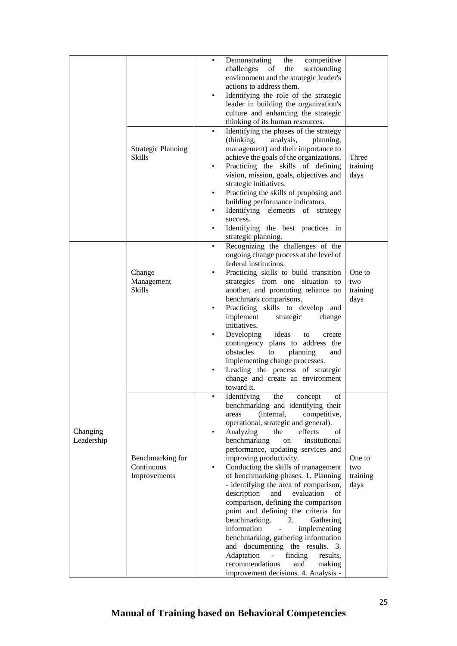|            |                           | ٠         | Demonstrating<br>the<br>competitive                 |          |
|------------|---------------------------|-----------|-----------------------------------------------------|----------|
|            |                           |           | challenges<br>the<br>surrounding<br>of              |          |
|            |                           |           | environment and the strategic leader's              |          |
|            |                           |           | actions to address them.                            |          |
|            |                           |           |                                                     |          |
|            |                           |           | Identifying the role of the strategic               |          |
|            |                           |           | leader in building the organization's               |          |
|            |                           |           | culture and enhancing the strategic                 |          |
|            |                           |           | thinking of its human resources.                    |          |
|            |                           | ٠         | Identifying the phases of the strategy              |          |
|            |                           |           | (thinking,<br>analysis,                             |          |
|            |                           |           | planning,                                           |          |
|            | <b>Strategic Planning</b> |           | management) and their importance to                 |          |
|            | <b>Skills</b>             |           | achieve the goals of the organizations.             | Three    |
|            |                           | $\bullet$ | Practicing the skills of defining                   | training |
|            |                           |           | vision, mission, goals, objectives and              | days     |
|            |                           |           | strategic initiatives.                              |          |
|            |                           |           | Practicing the skills of proposing and              |          |
|            |                           |           |                                                     |          |
|            |                           |           | building performance indicators.                    |          |
|            |                           |           | Identifying elements of strategy                    |          |
|            |                           |           | success.                                            |          |
|            |                           |           | Identifying the best practices in                   |          |
|            |                           |           | strategic planning.                                 |          |
|            |                           | $\bullet$ | Recognizing the challenges of the                   |          |
|            |                           |           | ongoing change process at the level of              |          |
|            |                           |           |                                                     |          |
|            |                           |           | federal institutions.                               |          |
|            | Change                    |           | Practicing skills to build transition               | One to   |
|            | Management                |           | strategies from one situation to                    | two      |
|            | <b>Skills</b>             |           | another, and promoting reliance on                  | training |
|            |                           |           | benchmark comparisons.                              | days     |
|            |                           |           | Practicing skills to develop and                    |          |
|            |                           |           | implement<br>strategic<br>change                    |          |
|            |                           |           |                                                     |          |
|            |                           |           | initiatives.                                        |          |
|            |                           |           | Developing<br>ideas<br>to<br>create                 |          |
|            |                           |           | contingency plans to address the                    |          |
|            |                           |           | obstacles<br>to<br>planning<br>and                  |          |
|            |                           |           | implementing change processes.                      |          |
|            |                           |           | Leading the process of strategic                    |          |
|            |                           |           | change and create an environment                    |          |
|            |                           |           |                                                     |          |
|            |                           |           | toward it.                                          |          |
|            |                           |           | Identifying the concept<br>of                       |          |
|            |                           |           | benchmarking and identifying their                  |          |
|            |                           |           | (internal,<br>competitive,<br>areas                 |          |
|            |                           |           | operational, strategic and general).                |          |
| Changing   |                           |           | Analyzing<br>the<br>effects<br>οf                   |          |
| Leadership |                           |           | benchmarking<br>institutional<br>on                 |          |
|            |                           |           | performance, updating services and                  |          |
|            |                           |           |                                                     |          |
|            | Benchmarking for          |           | improving productivity.                             | One to   |
|            | Continuous                | ٠         | Conducting the skills of management                 | two      |
|            | Improvements              |           | of benchmarking phases. 1. Planning                 | training |
|            |                           |           | - identifying the area of comparison,               | days     |
|            |                           |           | description<br>evaluation<br>and<br>οf              |          |
|            |                           |           | comparison, defining the comparison                 |          |
|            |                           |           | point and defining the criteria for                 |          |
|            |                           |           |                                                     |          |
|            |                           |           | benchmarking.<br>Gathering<br>2.                    |          |
|            |                           |           | information<br>implementing                         |          |
|            |                           |           | benchmarking, gathering information                 |          |
|            |                           |           | and documenting the results.<br>3.                  |          |
|            |                           |           | Adaptation<br>finding<br>results,<br>$\overline{a}$ |          |
|            |                           |           | recommendations<br>and<br>making                    |          |
|            |                           |           | improvement decisions. 4. Analysis -                |          |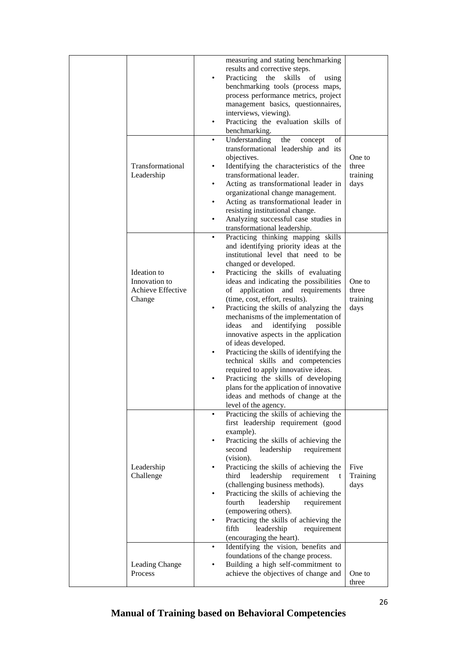|                                                             | measuring and stating benchmarking<br>results and corrective steps.<br>Practicing<br>the<br>skills<br>- of<br>using<br>$\bullet$<br>benchmarking tools (process maps,<br>process performance metrics, project<br>management basics, questionnaires,<br>interviews, viewing).<br>Practicing the evaluation skills of<br>$\bullet$<br>benchmarking.                                                                                                                                                                                                                                                                                                                                                                                                                                            |                                     |
|-------------------------------------------------------------|----------------------------------------------------------------------------------------------------------------------------------------------------------------------------------------------------------------------------------------------------------------------------------------------------------------------------------------------------------------------------------------------------------------------------------------------------------------------------------------------------------------------------------------------------------------------------------------------------------------------------------------------------------------------------------------------------------------------------------------------------------------------------------------------|-------------------------------------|
| Transformational<br>Leadership                              | Understanding<br>the<br>concept<br>οf<br>$\bullet$<br>transformational leadership and its<br>objectives.<br>Identifying the characteristics of the<br>٠<br>transformational leader.<br>Acting as transformational leader in<br>٠<br>organizational change management.<br>Acting as transformational leader in<br>٠<br>resisting institutional change.<br>Analyzing successful case studies in<br>transformational leadership.                                                                                                                                                                                                                                                                                                                                                                | One to<br>three<br>training<br>days |
| Ideation to<br>Innovation to<br>Achieve Effective<br>Change | Practicing thinking mapping skills<br>and identifying priority ideas at the<br>institutional level that need to be<br>changed or developed.<br>Practicing the skills of evaluating<br>٠<br>ideas and indicating the possibilities<br>of application and requirements<br>(time, cost, effort, results).<br>Practicing the skills of analyzing the<br>$\bullet$<br>mechanisms of the implementation of<br>ideas<br>identifying<br>possible<br>and<br>innovative aspects in the application<br>of ideas developed.<br>Practicing the skills of identifying the<br>٠<br>technical skills and competencies<br>required to apply innovative ideas.<br>Practicing the skills of developing<br>plans for the application of innovative<br>ideas and methods of change at the<br>level of the agency. | One to<br>three<br>training<br>days |
| Leadership<br>Challenge                                     | Practicing the skills of achieving the<br>$\bullet$<br>first leadership requirement (good<br>example).<br>Practicing the skills of achieving the<br>٠<br>second<br>leadership<br>requirement<br>(vision).<br>Practicing the skills of achieving the<br>third<br>leadership<br>requirement<br>t<br>(challenging business methods).<br>Practicing the skills of achieving the<br>$\bullet$<br>fourth<br>leadership<br>requirement<br>(empowering others).<br>Practicing the skills of achieving the<br>$\bullet$<br>fifth<br>leadership<br>requirement<br>(encouraging the heart).                                                                                                                                                                                                             | Five<br>Training<br>days            |
| Leading Change<br>Process                                   | Identifying the vision, benefits and<br>٠<br>foundations of the change process.<br>Building a high self-commitment to<br>achieve the objectives of change and                                                                                                                                                                                                                                                                                                                                                                                                                                                                                                                                                                                                                                | One to<br>three                     |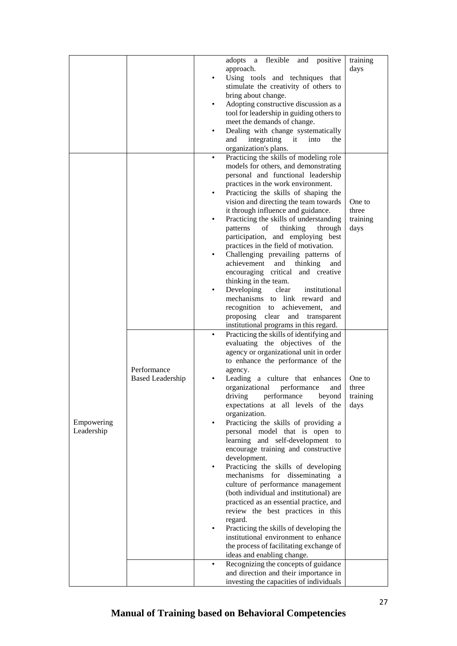| flexible<br>adopts<br>a                                                         | and positive<br>training |
|---------------------------------------------------------------------------------|--------------------------|
| approach.                                                                       | days                     |
| Using tools and techniques that                                                 |                          |
| stimulate the creativity of others to                                           |                          |
| bring about change.                                                             |                          |
| Adopting constructive discussion as a                                           |                          |
| tool for leadership in guiding others to                                        |                          |
| meet the demands of change.                                                     |                          |
| Dealing with change systematically                                              |                          |
| and<br>integrating it<br>into                                                   | the                      |
| organization's plans.                                                           |                          |
| Practicing the skills of modeling role<br>٠                                     |                          |
| models for others, and demonstrating                                            |                          |
| personal and functional leadership                                              |                          |
| practices in the work environment.                                              |                          |
| Practicing the skills of shaping the                                            |                          |
| vision and directing the team towards                                           | One to                   |
| it through influence and guidance.                                              | three                    |
| Practicing the skills of understanding                                          | training                 |
| patterns<br>of<br>thinking                                                      | days<br>through          |
| participation, and employing best                                               |                          |
| practices in the field of motivation.                                           |                          |
| Challenging prevailing patterns of                                              |                          |
| achievement<br>and<br>thinking                                                  | and                      |
| encouraging critical and creative                                               |                          |
| thinking in the team.                                                           |                          |
| Developing<br>clear                                                             | institutional            |
| mechanisms to link reward                                                       | and                      |
| recognition to<br>achievement,<br>proposing clear and transparent               | and                      |
| institutional programs in this regard.                                          |                          |
| Practicing the skills of identifying and                                        |                          |
| evaluating the objectives of the                                                |                          |
| agency or organizational unit in order                                          |                          |
| to enhance the performance of the                                               |                          |
| Performance<br>agency.                                                          |                          |
| <b>Based Leadership</b><br>Leading a culture that enhances                      | One to                   |
| organizational<br>performance                                                   | and<br>three             |
| driving<br>performance                                                          | bevond<br>training       |
| expectations at all levels of the                                               | days                     |
| organization.                                                                   |                          |
| Practicing the skills of providing a<br>Empowering                              |                          |
| Leadership<br>personal model that is open to                                    |                          |
| learning and self-development to                                                |                          |
| encourage training and constructive                                             |                          |
| development.                                                                    |                          |
| Practicing the skills of developing<br>$\bullet$                                |                          |
| mechanisms for disseminating a                                                  |                          |
| culture of performance management                                               |                          |
| (both individual and institutional) are                                         |                          |
| practiced as an essential practice, and                                         |                          |
| review the best practices in this                                               |                          |
| regard.                                                                         |                          |
| Practicing the skills of developing the<br>institutional environment to enhance |                          |
| the process of facilitating exchange of                                         |                          |
| ideas and enabling change.                                                      |                          |
|                                                                                 |                          |
|                                                                                 |                          |
| Recognizing the concepts of guidance<br>and direction and their importance in   |                          |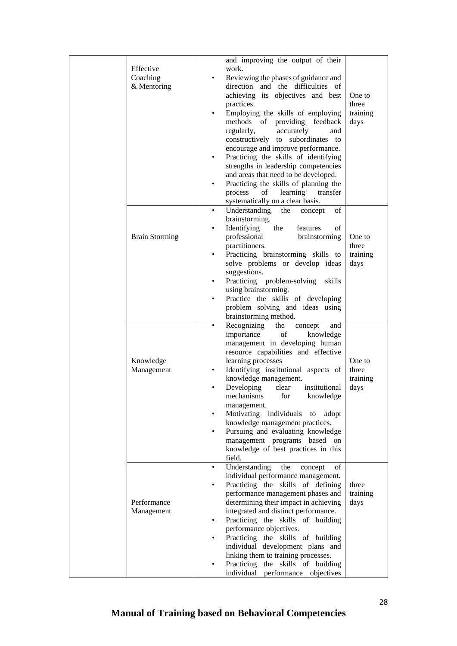| Effective<br>Coaching<br>& Mentoring | $\bullet$                                             | and improving the output of their<br>work.<br>Reviewing the phases of guidance and<br>direction and the difficulties of<br>achieving its objectives and best<br>practices.<br>Employing the skills of employing<br>methods of providing feedback<br>regularly,<br>accurately<br>and                                                                                                                                                                                                                                     | One to<br>three<br>training<br>days |
|--------------------------------------|-------------------------------------------------------|-------------------------------------------------------------------------------------------------------------------------------------------------------------------------------------------------------------------------------------------------------------------------------------------------------------------------------------------------------------------------------------------------------------------------------------------------------------------------------------------------------------------------|-------------------------------------|
|                                      | $\bullet$<br>$\bullet$                                | constructively to subordinates to<br>encourage and improve performance.<br>Practicing the skills of identifying<br>strengths in leadership competencies<br>and areas that need to be developed.<br>Practicing the skills of planning the<br>learning<br>process<br>of<br>transfer<br>systematically on a clear basis.                                                                                                                                                                                                   |                                     |
| <b>Brain Storming</b>                | $\bullet$<br>٠<br>$\bullet$                           | Understanding<br>of<br>the<br>concept<br>brainstorming.<br>Identifying<br>the<br>features<br>οf<br>professional<br>brainstorming<br>practitioners.<br>Practicing brainstorming skills to<br>solve problems or develop ideas<br>suggestions.<br>Practicing problem-solving<br>skills<br>using brainstorming.<br>Practice the skills of developing<br>problem solving and ideas using<br>brainstorming method.                                                                                                            | One to<br>three<br>training<br>days |
| Knowledge<br>Management              | $\bullet$<br>٠<br>$\bullet$<br>$\bullet$<br>$\bullet$ | Recognizing<br>the<br>concept<br>and<br>importance<br>of<br>knowledge<br>management in developing human<br>resource capabilities and effective<br>learning processes<br>Identifying institutional aspects of<br>knowledge management.<br>Developing<br>clear<br>institutional<br>mechanisms for knowledge<br>management.<br>Motivating individuals to<br>adopt<br>knowledge management practices.<br>Pursuing and evaluating knowledge<br>management programs based on<br>knowledge of best practices in this<br>field. | One to<br>three<br>training<br>days |
| Performance<br>Management            | $\bullet$<br>٠<br>$\bullet$                           | Understanding<br>the<br>of<br>concept<br>individual performance management.<br>Practicing the skills of defining<br>performance management phases and<br>determining their impact in achieving<br>integrated and distinct performance.<br>Practicing the skills of building<br>performance objectives.<br>Practicing the skills of building<br>individual development plans and<br>linking them to training processes.<br>Practicing the skills of building<br>individual performance objectives                        | three<br>training<br>days           |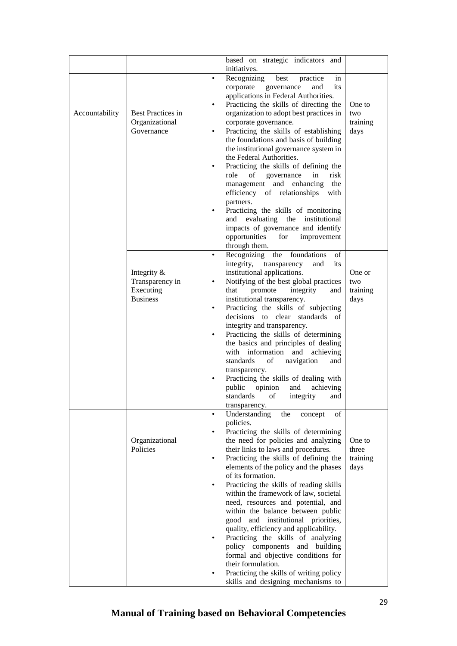|                |                              | based on strategic indicators and                                         |                  |
|----------------|------------------------------|---------------------------------------------------------------------------|------------------|
|                |                              | initiatives.                                                              |                  |
|                |                              | Recognizing<br>best<br>practice<br>in<br>٠<br>corporate governance<br>its |                  |
|                |                              | and<br>applications in Federal Authorities.                               |                  |
|                |                              | Practicing the skills of directing the<br>٠                               | One to           |
| Accountability | <b>Best Practices in</b>     | organization to adopt best practices in                                   | two              |
|                | Organizational               | corporate governance.                                                     | training         |
|                | Governance                   | Practicing the skills of establishing<br>٠                                | days             |
|                |                              | the foundations and basis of building                                     |                  |
|                |                              | the institutional governance system in<br>the Federal Authorities.        |                  |
|                |                              | Practicing the skills of defining the<br>$\bullet$                        |                  |
|                |                              | role<br>risk<br>of<br>governance<br>in                                    |                  |
|                |                              | management and enhancing<br>the                                           |                  |
|                |                              | efficiency of relationships<br>with                                       |                  |
|                |                              | partners.                                                                 |                  |
|                |                              | Practicing the skills of monitoring                                       |                  |
|                |                              | and evaluating the institutional<br>impacts of governance and identify    |                  |
|                |                              | opportunities<br>for<br>improvement                                       |                  |
|                |                              | through them.                                                             |                  |
|                |                              | Recognizing<br>the<br>foundations<br>of<br>$\bullet$                      |                  |
|                |                              | integrity, transparency<br>and<br>its                                     |                  |
|                | Integrity $\&$               | institutional applications.                                               | One or           |
|                | Transparency in              | Notifying of the best global practices<br>$\bullet$                       | two              |
|                | Executing<br><b>Business</b> | promote<br>integrity<br>that<br>and<br>institutional transparency.        | training<br>days |
|                |                              | Practicing the skills of subjecting                                       |                  |
|                |                              | decisions to clear<br>standards of                                        |                  |
|                |                              | integrity and transparency.                                               |                  |
|                |                              | Practicing the skills of determining                                      |                  |
|                |                              | the basics and principles of dealing                                      |                  |
|                |                              | with information and<br>achieving<br>standards<br>οf<br>navigation<br>and |                  |
|                |                              | transparency.                                                             |                  |
|                |                              | Practicing the skills of dealing with                                     |                  |
|                |                              | public<br>opinion<br>achieving<br>and                                     |                  |
|                |                              | standards of integrity<br>and                                             |                  |
|                |                              | transparency.                                                             |                  |
|                |                              | Understanding<br>the<br>concept<br>οf<br>٠<br>policies.                   |                  |
|                |                              | Practicing the skills of determining                                      |                  |
|                | Organizational               | the need for policies and analyzing                                       | One to           |
|                | Policies                     | their links to laws and procedures.                                       | three            |
|                |                              | Practicing the skills of defining the<br>$\bullet$                        | training         |
|                |                              | elements of the policy and the phases                                     | days             |
|                |                              | of its formation.<br>Practicing the skills of reading skills<br>٠         |                  |
|                |                              | within the framework of law, societal                                     |                  |
|                |                              | need, resources and potential, and                                        |                  |
|                |                              | within the balance between public                                         |                  |
|                |                              | good and institutional priorities,                                        |                  |
|                |                              | quality, efficiency and applicability.                                    |                  |
|                |                              | Practicing the skills of analyzing                                        |                  |
|                |                              | policy components and building<br>formal and objective conditions for     |                  |
|                |                              | their formulation.                                                        |                  |
|                |                              | Practicing the skills of writing policy                                   |                  |
|                |                              | skills and designing mechanisms to                                        |                  |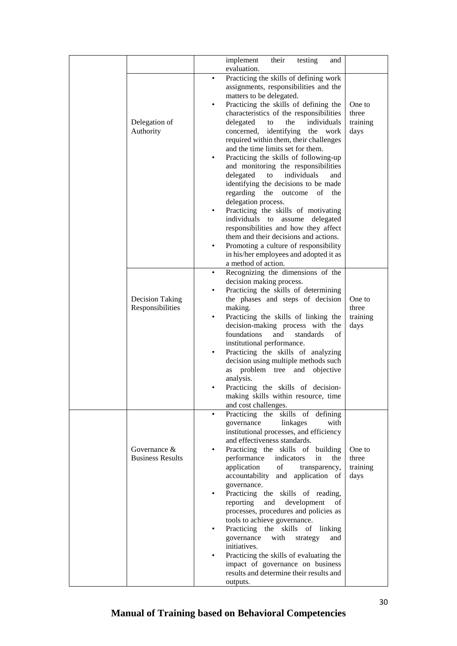|                         |   | implement<br>their<br>testing<br>and                              |          |
|-------------------------|---|-------------------------------------------------------------------|----------|
|                         |   | evaluation.                                                       |          |
|                         | ٠ | Practicing the skills of defining work                            |          |
|                         |   | assignments, responsibilities and the                             |          |
|                         |   | matters to be delegated.                                          |          |
|                         | ٠ | Practicing the skills of defining the                             | One to   |
|                         |   | characteristics of the responsibilities                           | three    |
| Delegation of           |   | individuals<br>delegated<br>the<br>to                             | training |
| Authority               |   | concerned, identifying<br>the work                                | days     |
|                         |   | required within them, their challenges                            |          |
|                         |   | and the time limits set for them.                                 |          |
|                         | ٠ | Practicing the skills of following-up                             |          |
|                         |   | and monitoring the responsibilities                               |          |
|                         |   | delegated<br>individuals<br>to<br>and                             |          |
|                         |   | identifying the decisions to be made                              |          |
|                         |   | regarding<br>the<br>outcome<br>of<br>the                          |          |
|                         |   | delegation process.                                               |          |
|                         |   | Practicing the skills of motivating                               |          |
|                         |   | individuals to<br>assume<br>delegated                             |          |
|                         |   | responsibilities and how they affect                              |          |
|                         |   | them and their decisions and actions.                             |          |
|                         |   | Promoting a culture of responsibility                             |          |
|                         |   | in his/her employees and adopted it as                            |          |
|                         |   | a method of action.                                               |          |
|                         | ٠ | Recognizing the dimensions of the                                 |          |
|                         |   | decision making process.                                          |          |
|                         | ٠ | Practicing the skills of determining                              |          |
| Decision Taking         |   | the phases and steps of decision                                  | One to   |
| Responsibilities        |   | making.                                                           | three    |
|                         | ٠ | Practicing the skills of linking the                              | training |
|                         |   | decision-making process with the                                  | days     |
|                         |   | foundations<br>and<br>standards<br>of                             |          |
|                         |   | institutional performance.                                        |          |
|                         | ٠ | Practicing the skills of analyzing                                |          |
|                         |   | decision using multiple methods such                              |          |
|                         |   | as problem tree and objective                                     |          |
|                         |   | analysis.                                                         |          |
|                         |   | Practicing the skills of decision-                                |          |
|                         |   | making skills within resource, time                               |          |
|                         |   | and cost challenges.                                              |          |
|                         | ٠ | Practicing the skills of defining                                 |          |
|                         |   | governance<br>linkages<br>with                                    |          |
|                         |   | institutional processes, and efficiency                           |          |
| Governance $&$          |   | and effectiveness standards.<br>Practicing the skills of building | One to   |
| <b>Business Results</b> |   | performance<br>indicators<br>in<br>the                            | three    |
|                         |   | application<br>of<br>transparency,                                | training |
|                         |   | accountability and application of                                 | days     |
|                         |   | governance.                                                       |          |
|                         |   | Practicing the skills of reading,                                 |          |
|                         |   | reporting<br>and<br>development<br>οf                             |          |
|                         |   | processes, procedures and policies as                             |          |
|                         |   | tools to achieve governance.                                      |          |
|                         |   | Practicing the skills of linking                                  |          |
|                         |   | governance<br>with<br>strategy<br>and                             |          |
|                         |   | initiatives.                                                      |          |
|                         |   | Practicing the skills of evaluating the                           |          |
|                         |   | impact of governance on business                                  |          |
|                         |   | results and determine their results and                           |          |
|                         |   | outputs.                                                          |          |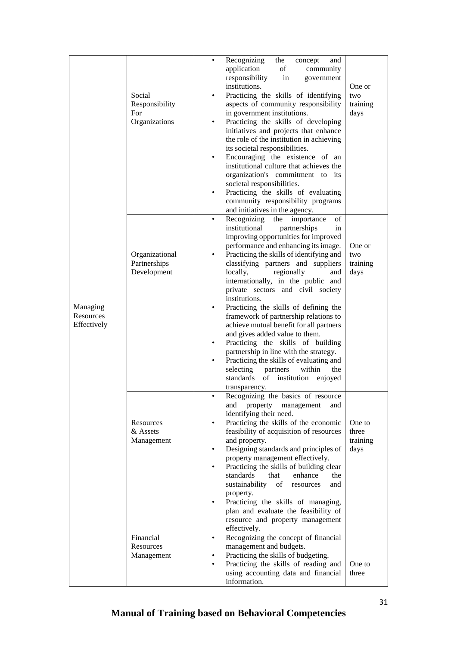|                                      | Social<br>Responsibility<br>For<br>Organizations | Recognizing<br>the<br>concept<br>and<br>$\bullet$<br>application<br>of<br>community<br>responsibility<br>in<br>government<br>institutions.<br>Practicing the skills of identifying<br>$\bullet$<br>aspects of community responsibility<br>in government institutions.<br>Practicing the skills of developing<br>initiatives and projects that enhance<br>the role of the institution in achieving<br>its societal responsibilities.<br>Encouraging the existence of an<br>$\bullet$<br>institutional culture that achieves the<br>organization's commitment to its<br>societal responsibilities.<br>Practicing the skills of evaluating<br>community responsibility programs<br>and initiatives in the agency.                                                                                                                         | One or<br>two<br>training<br>days   |
|--------------------------------------|--------------------------------------------------|----------------------------------------------------------------------------------------------------------------------------------------------------------------------------------------------------------------------------------------------------------------------------------------------------------------------------------------------------------------------------------------------------------------------------------------------------------------------------------------------------------------------------------------------------------------------------------------------------------------------------------------------------------------------------------------------------------------------------------------------------------------------------------------------------------------------------------------|-------------------------------------|
| Managing<br>Resources<br>Effectively | Organizational<br>Partnerships<br>Development    | of<br>Recognizing<br>the<br>importance<br>$\bullet$<br>institutional<br>partnerships<br>in<br>improving opportunities for improved<br>performance and enhancing its image.<br>Practicing the skills of identifying and<br>classifying partners and suppliers<br>locally,<br>regionally<br>and<br>internationally, in the public and<br>private sectors and civil society<br>institutions.<br>Practicing the skills of defining the<br>٠<br>framework of partnership relations to<br>achieve mutual benefit for all partners<br>and gives added value to them.<br>Practicing the skills of building<br>$\bullet$<br>partnership in line with the strategy.<br>Practicing the skills of evaluating and<br>$\bullet$<br>selecting<br>partners<br>within<br>the<br>standards<br>of<br>institution<br>enjoyed<br>transparency.<br>$\bullet$ | One or<br>two<br>training<br>days   |
|                                      | Resources<br>& Assets<br>Management<br>Financial | Recognizing the basics of resource<br>and property management<br>and<br>identifying their need.<br>Practicing the skills of the economic<br>٠<br>feasibility of acquisition of resources<br>and property.<br>Designing standards and principles of<br>$\bullet$<br>property management effectively.<br>Practicing the skills of building clear<br>standards<br>that<br>enhance<br>the<br>sustainability of<br>resources<br>and<br>property.<br>Practicing the skills of managing,<br>٠<br>plan and evaluate the feasibility of<br>resource and property management<br>effectively.<br>Recognizing the concept of financial<br>$\bullet$                                                                                                                                                                                                | One to<br>three<br>training<br>days |
|                                      | Resources<br>Management                          | management and budgets.<br>Practicing the skills of budgeting.<br>Practicing the skills of reading and<br>٠<br>using accounting data and financial<br>information.                                                                                                                                                                                                                                                                                                                                                                                                                                                                                                                                                                                                                                                                     | One to<br>three                     |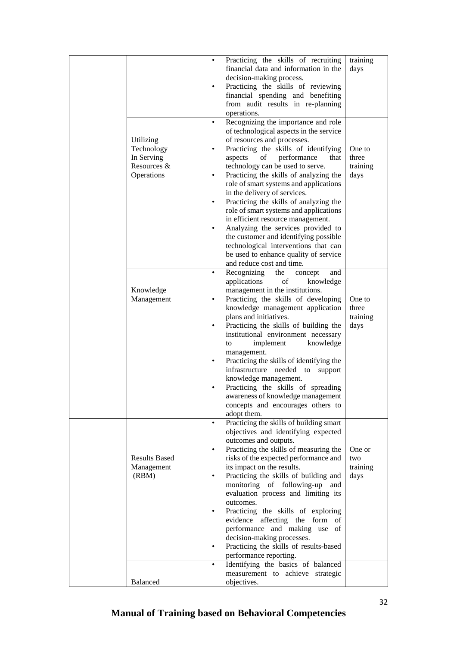|                                       | $\bullet$<br>$\bullet$ | Practicing the skills of recruiting<br>financial data and information in the<br>decision-making process.<br>Practicing the skills of reviewing<br>financial spending and benefiting<br>from audit results in re-planning<br>operations. | training<br>days |
|---------------------------------------|------------------------|-----------------------------------------------------------------------------------------------------------------------------------------------------------------------------------------------------------------------------------------|------------------|
|                                       |                        | Recognizing the importance and role<br>of technological aspects in the service                                                                                                                                                          |                  |
| Utilizing<br>Technology<br>In Serving |                        | of resources and processes.<br>Practicing the skills of identifying<br>performance<br>aspects<br>of<br>that                                                                                                                             | One to<br>three  |
| Resources &<br>Operations             | $\bullet$              | technology can be used to serve.<br>Practicing the skills of analyzing the                                                                                                                                                              | training<br>days |
|                                       | ٠                      | role of smart systems and applications<br>in the delivery of services.<br>Practicing the skills of analyzing the                                                                                                                        |                  |
|                                       |                        | role of smart systems and applications<br>in efficient resource management.                                                                                                                                                             |                  |
|                                       |                        | Analyzing the services provided to<br>the customer and identifying possible<br>technological interventions that can<br>be used to enhance quality of service                                                                            |                  |
|                                       | $\bullet$              | and reduce cost and time.<br>Recognizing<br>the<br>concept<br>and                                                                                                                                                                       |                  |
| Knowledge<br>Management               | $\bullet$              | applications<br>of<br>knowledge<br>management in the institutions.<br>Practicing the skills of developing<br>knowledge management application                                                                                           | One to<br>three  |
|                                       |                        | plans and initiatives.<br>Practicing the skills of building the<br>institutional environment necessary<br>implement<br>knowledge<br>to                                                                                                  | training<br>days |
|                                       |                        | management.<br>Practicing the skills of identifying the<br>infrastructure needed to support                                                                                                                                             |                  |
|                                       |                        | knowledge management.<br>Practicing the skills of spreading<br>awareness of knowledge management                                                                                                                                        |                  |
|                                       |                        | concepts and encourages others to<br>adopt them.                                                                                                                                                                                        |                  |
|                                       | $\bullet$              | Practicing the skills of building smart<br>objectives and identifying expected<br>outcomes and outputs.                                                                                                                                 |                  |
| <b>Results Based</b>                  |                        | Practicing the skills of measuring the<br>risks of the expected performance and                                                                                                                                                         | One or<br>two    |
| Management<br>(RBM)                   |                        | its impact on the results.<br>Practicing the skills of building and<br>monitoring of following-up and                                                                                                                                   | training<br>days |
|                                       | ٠                      | evaluation process and limiting its<br>outcomes.<br>Practicing the skills of exploring                                                                                                                                                  |                  |
|                                       |                        | evidence affecting the form of<br>performance and making use of<br>decision-making processes.                                                                                                                                           |                  |
|                                       | ٠                      | Practicing the skills of results-based<br>performance reporting.                                                                                                                                                                        |                  |
| Balanced                              | ٠                      | Identifying the basics of balanced<br>measurement to achieve strategic<br>objectives.                                                                                                                                                   |                  |
|                                       |                        |                                                                                                                                                                                                                                         |                  |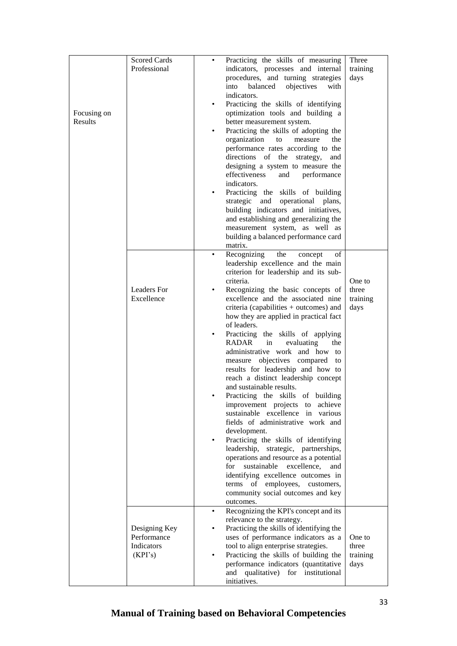| Focusing on<br>Results | <b>Scored Cards</b><br>Professional                   | ٠<br>٠ | Practicing the skills of measuring<br>indicators, processes and internal<br>procedures, and turning strategies<br>into<br>balanced<br>objectives<br>with<br>indicators.<br>Practicing the skills of identifying<br>optimization tools and building a<br>better measurement system.<br>Practicing the skills of adopting the<br>organization<br>to<br>measure<br>the<br>performance rates according to the<br>directions of the strategy,<br>and<br>designing a system to measure the<br>effectiveness<br>and<br>performance<br>indicators. | Three<br>training<br>days           |
|------------------------|-------------------------------------------------------|--------|--------------------------------------------------------------------------------------------------------------------------------------------------------------------------------------------------------------------------------------------------------------------------------------------------------------------------------------------------------------------------------------------------------------------------------------------------------------------------------------------------------------------------------------------|-------------------------------------|
|                        |                                                       | ٠      | Practicing the skills of building<br>strategic and operational<br>plans,<br>building indicators and initiatives,<br>and establishing and generalizing the<br>measurement system, as well as<br>building a balanced performance card<br>matrix.<br>Recognizing<br>the<br>of<br>concept                                                                                                                                                                                                                                                      |                                     |
|                        |                                                       |        | leadership excellence and the main<br>criterion for leadership and its sub-                                                                                                                                                                                                                                                                                                                                                                                                                                                                |                                     |
|                        | <b>Leaders</b> For<br>Excellence                      | ٠      | criteria.<br>Recognizing the basic concepts of<br>excellence and the associated nine<br>criteria (capabilities + outcomes) and<br>how they are applied in practical fact<br>of leaders.                                                                                                                                                                                                                                                                                                                                                    | One to<br>three<br>training<br>days |
|                        |                                                       | ٠      | Practicing the skills of applying<br>RADAR in<br>evaluating<br>the<br>administrative work and how to<br>measure objectives compared to<br>results for leadership and how to<br>reach a distinct leadership concept<br>and sustainable results.                                                                                                                                                                                                                                                                                             |                                     |
|                        |                                                       |        | Practicing the skills of building<br>improvement projects to achieve<br>sustainable excellence in various<br>fields of administrative work and                                                                                                                                                                                                                                                                                                                                                                                             |                                     |
|                        |                                                       | ٠      | development.<br>Practicing the skills of identifying<br>leadership, strategic, partnerships,<br>operations and resource as a potential<br>for<br>sustainable<br>excellence,<br>and<br>identifying excellence outcomes in<br>employees, customers,<br>terms of<br>community social outcomes and key<br>outcomes.                                                                                                                                                                                                                            |                                     |
|                        | Designing Key<br>Performance<br>Indicators<br>(KPI's) | ٠      | Recognizing the KPI's concept and its<br>relevance to the strategy.<br>Practicing the skills of identifying the<br>uses of performance indicators as a<br>tool to align enterprise strategies.<br>Practicing the skills of building the<br>performance indicators (quantitative<br>and qualitative) for institutional<br>initiatives.                                                                                                                                                                                                      | One to<br>three<br>training<br>days |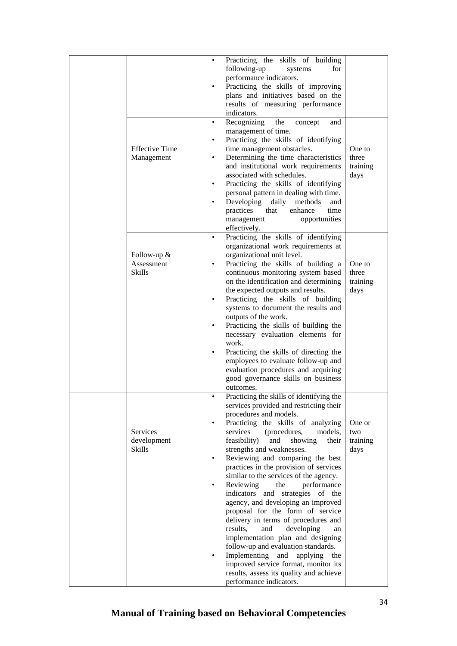|                                            | ٠                     | Practicing the skills of building<br>following-up<br>for<br>systems<br>performance indicators.<br>Practicing the skills of improving<br>plans and initiatives based on the<br>results of measuring performance<br>indicators.                                                                                                                                                                                                                                                                                                                                                                                                                                                                                                                                                                                                                                 |                                     |
|--------------------------------------------|-----------------------|---------------------------------------------------------------------------------------------------------------------------------------------------------------------------------------------------------------------------------------------------------------------------------------------------------------------------------------------------------------------------------------------------------------------------------------------------------------------------------------------------------------------------------------------------------------------------------------------------------------------------------------------------------------------------------------------------------------------------------------------------------------------------------------------------------------------------------------------------------------|-------------------------------------|
| <b>Effective Time</b><br>Management        | ٠<br>٠<br>٠<br>٠<br>٠ | Recognizing<br>the<br>concept<br>and<br>management of time.<br>Practicing the skills of identifying<br>time management obstacles.<br>Determining the time characteristics<br>and institutional work requirements<br>associated with schedules.<br>Practicing the skills of identifying<br>personal pattern in dealing with time.<br>Developing<br>daily<br>methods<br>and<br>practices<br>that<br>enhance<br>time<br>opportunities<br>management<br>effectively.                                                                                                                                                                                                                                                                                                                                                                                              | One to<br>three<br>training<br>days |
| Follow-up &<br>Assessment<br><b>Skills</b> | ٠                     | Practicing the skills of identifying<br>organizational work requirements at<br>organizational unit level.<br>Practicing the skills of building a<br>continuous monitoring system based<br>on the identification and determining<br>the expected outputs and results.<br>Practicing the skills of building<br>systems to document the results and<br>outputs of the work.<br>Practicing the skills of building the<br>necessary evaluation elements for<br>work.<br>Practicing the skills of directing the<br>employees to evaluate follow-up and<br>evaluation procedures and acquiring<br>good governance skills on business<br>outcomes.                                                                                                                                                                                                                    | One to<br>three<br>training<br>days |
| Services<br>development<br><b>Skills</b>   | ٠<br>٠<br>٠           | Practicing the skills of identifying the<br>services provided and restricting their<br>procedures and models.<br>Practicing the skills of analyzing<br>services<br>(procedures,<br>models,<br>feasibility)<br>showing<br>and<br>their<br>strengths and weaknesses.<br>Reviewing and comparing the best<br>practices in the provision of services<br>similar to the services of the agency.<br>Reviewing<br>the<br>performance<br>indicators and strategies of the<br>agency, and developing an improved<br>proposal for the form of service<br>delivery in terms of procedures and<br>results,<br>developing<br>and<br>an<br>implementation plan and designing<br>follow-up and evaluation standards.<br>Implementing<br>and<br>applying<br>the<br>improved service format, monitor its<br>results, assess its quality and achieve<br>performance indicators. | One or<br>two<br>training<br>days   |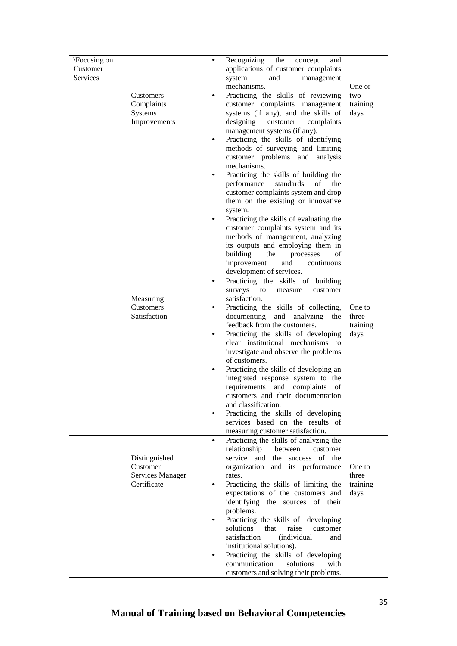| \Focusing on |                  |   | Recognizing<br>the<br>concept<br>and                                        |          |
|--------------|------------------|---|-----------------------------------------------------------------------------|----------|
| Customer     |                  |   | applications of customer complaints                                         |          |
| Services     |                  |   | and<br>system<br>management                                                 |          |
|              |                  |   | mechanisms.                                                                 | One or   |
|              | <b>Customers</b> | ٠ | Practicing the skills of reviewing                                          | two      |
|              | Complaints       |   | customer complaints management                                              | training |
|              | Systems          |   | systems (if any), and the skills of                                         | days     |
|              | Improvements     |   | designing<br>customer<br>complaints                                         |          |
|              |                  |   | management systems (if any).                                                |          |
|              |                  | ٠ | Practicing the skills of identifying                                        |          |
|              |                  |   | methods of surveying and limiting                                           |          |
|              |                  |   | customer problems and<br>analysis                                           |          |
|              |                  |   | mechanisms.                                                                 |          |
|              |                  | ٠ | Practicing the skills of building the                                       |          |
|              |                  |   | performance<br>standards<br>οf<br>the                                       |          |
|              |                  |   | customer complaints system and drop                                         |          |
|              |                  |   | them on the existing or innovative                                          |          |
|              |                  |   | system.<br>Practicing the skills of evaluating the                          |          |
|              |                  |   | customer complaints system and its                                          |          |
|              |                  |   | methods of management, analyzing                                            |          |
|              |                  |   | its outputs and employing them in                                           |          |
|              |                  |   | building<br>the<br>processes<br>οf                                          |          |
|              |                  |   | improvement<br>and<br>continuous                                            |          |
|              |                  |   | development of services.                                                    |          |
|              |                  | ٠ | Practicing the skills of building                                           |          |
|              |                  |   | surveys<br>customer<br>to<br>measure                                        |          |
|              | Measuring        |   | satisfaction.                                                               |          |
|              | Customers        | ٠ | Practicing the skills of collecting,                                        | One to   |
|              | Satisfaction     |   | documenting and analyzing<br>the                                            | three    |
|              |                  |   | feedback from the customers.                                                | training |
|              |                  | ٠ | Practicing the skills of developing                                         | days     |
|              |                  |   | clear institutional mechanisms to                                           |          |
|              |                  |   | investigate and observe the problems                                        |          |
|              |                  |   | of customers.                                                               |          |
|              |                  |   | Practicing the skills of developing an<br>integrated response system to the |          |
|              |                  |   | requirements<br>complaints<br>and<br>οf                                     |          |
|              |                  |   | customers and their documentation                                           |          |
|              |                  |   | and classification.                                                         |          |
|              |                  |   | Practicing the skills of developing                                         |          |
|              |                  |   | services based on the results of                                            |          |
|              |                  |   | measuring customer satisfaction.                                            |          |
|              |                  |   | Practicing the skills of analyzing the                                      |          |
|              |                  |   | relationship<br>between<br>customer                                         |          |
|              | Distinguished    |   | service and the success of the                                              |          |
|              | Customer         |   | organization and its performance                                            | One to   |
|              | Services Manager |   | rates.                                                                      | three    |
|              | Certificate      |   | Practicing the skills of limiting the                                       | training |
|              |                  |   | expectations of the customers and                                           | days     |
|              |                  |   | identifying the sources of their<br>problems.                               |          |
|              |                  |   | Practicing the skills of developing                                         |          |
|              |                  |   | solutions<br>raise<br>that<br>customer                                      |          |
|              |                  |   | satisfaction<br>(individual<br>and                                          |          |
|              |                  |   | institutional solutions).                                                   |          |
|              |                  |   | Practicing the skills of developing                                         |          |
|              |                  |   | communication<br>solutions<br>with                                          |          |
|              |                  |   | customers and solving their problems.                                       |          |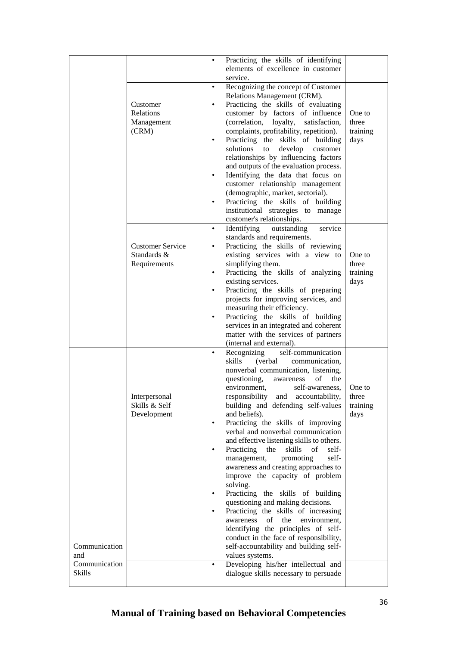|                                       |                                                        | Practicing the skills of identifying<br>٠<br>elements of excellence in customer<br>service.                                                                                                                                                                                                                                                                                                                                                                                                                                                                                                                                                                                                                                                                                                                                                                                                                                                                                                         |                                     |
|---------------------------------------|--------------------------------------------------------|-----------------------------------------------------------------------------------------------------------------------------------------------------------------------------------------------------------------------------------------------------------------------------------------------------------------------------------------------------------------------------------------------------------------------------------------------------------------------------------------------------------------------------------------------------------------------------------------------------------------------------------------------------------------------------------------------------------------------------------------------------------------------------------------------------------------------------------------------------------------------------------------------------------------------------------------------------------------------------------------------------|-------------------------------------|
|                                       | Customer<br>Relations<br>Management<br>(CRM)           | Recognizing the concept of Customer<br>$\bullet$<br>Relations Management (CRM).<br>Practicing the skills of evaluating<br>customer by factors of influence<br>(correlation, loyalty,<br>satisfaction,<br>complaints, profitability, repetition).<br>Practicing the skills of building<br>$\bullet$<br>solutions<br>develop<br>to<br>customer<br>relationships by influencing factors<br>and outputs of the evaluation process.<br>Identifying the data that focus on<br>٠<br>customer relationship management<br>(demographic, market, sectorial).<br>Practicing the skills of building<br>institutional strategies to manage<br>customer's relationships.                                                                                                                                                                                                                                                                                                                                          | One to<br>three<br>training<br>days |
|                                       | <b>Customer Service</b><br>Standards &<br>Requirements | Identifying outstanding<br>service<br>$\bullet$<br>standards and requirements.<br>Practicing the skills of reviewing<br>existing services with a view to<br>simplifying them.<br>Practicing the skills of analyzing<br>$\bullet$<br>existing services.<br>Practicing the skills of preparing<br>$\bullet$<br>projects for improving services, and<br>measuring their efficiency.<br>Practicing the skills of building<br>services in an integrated and coherent<br>matter with the services of partners<br>(internal and external).                                                                                                                                                                                                                                                                                                                                                                                                                                                                 | One to<br>three<br>training<br>days |
| Communication<br>and<br>Communication | Interpersonal<br>Skills & Self<br>Development          | self-communication<br>Recognizing<br>skills<br>(verbal)<br>communication,<br>nonverbal communication, listening,<br>questioning,<br>of<br>the<br>awareness<br>environment,<br>self-awareness,<br>responsibility and accountability,<br>building and defending self-values<br>and beliefs).<br>Practicing the skills of improving<br>$\bullet$<br>verbal and nonverbal communication<br>and effective listening skills to others.<br>Practicing<br>the<br>skills of<br>self-<br>$\bullet$<br>management,<br>promoting<br>self-<br>awareness and creating approaches to<br>improve the capacity of problem<br>solving.<br>Practicing the skills of building<br>$\bullet$<br>questioning and making decisions.<br>Practicing the skills of increasing<br>٠<br>of<br>the<br>environment,<br>awareness<br>identifying the principles of self-<br>conduct in the face of responsibility,<br>self-accountability and building self-<br>values systems.<br>Developing his/her intellectual and<br>$\bullet$ | One to<br>three<br>training<br>days |
| Skills                                |                                                        | dialogue skills necessary to persuade                                                                                                                                                                                                                                                                                                                                                                                                                                                                                                                                                                                                                                                                                                                                                                                                                                                                                                                                                               |                                     |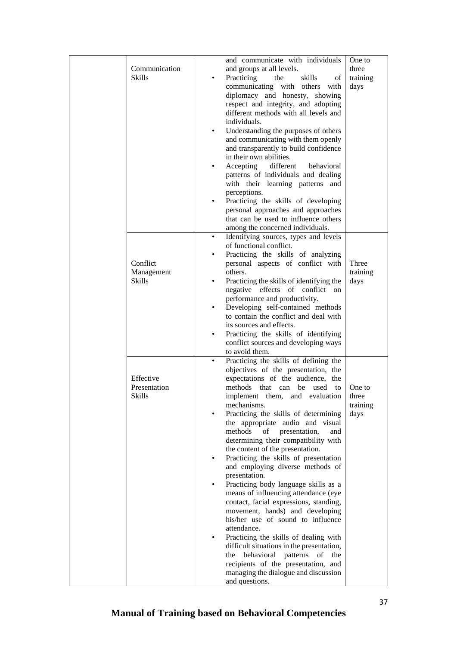| Communication<br><b>Skills</b>      | $\bullet$ | and communicate with individuals<br>and groups at all levels.<br>Practicing<br>the<br>skills<br>οf<br>communicating with others<br>with<br>diplomacy and honesty, showing<br>respect and integrity, and adopting<br>different methods with all levels and | One to<br>three<br>training<br>days |
|-------------------------------------|-----------|-----------------------------------------------------------------------------------------------------------------------------------------------------------------------------------------------------------------------------------------------------------|-------------------------------------|
|                                     | $\bullet$ | individuals.<br>Understanding the purposes of others<br>and communicating with them openly<br>and transparently to build confidence                                                                                                                       |                                     |
|                                     | $\bullet$ | in their own abilities.<br>different<br>Accepting<br>behavioral<br>patterns of individuals and dealing<br>with their learning patterns and                                                                                                                |                                     |
|                                     |           | perceptions.<br>Practicing the skills of developing<br>personal approaches and approaches<br>that can be used to influence others<br>among the concerned individuals.                                                                                     |                                     |
|                                     | ٠         | Identifying sources, types and levels                                                                                                                                                                                                                     |                                     |
| Conflict                            | $\bullet$ | of functional conflict.<br>Practicing the skills of analyzing<br>personal aspects of conflict with                                                                                                                                                        | Three                               |
| Management<br><b>Skills</b>         | $\bullet$ | others.<br>Practicing the skills of identifying the<br>negative effects of conflict on<br>performance and productivity.                                                                                                                                   | training<br>days                    |
|                                     | $\bullet$ | Developing self-contained methods<br>to contain the conflict and deal with<br>its sources and effects.                                                                                                                                                    |                                     |
|                                     | $\bullet$ | Practicing the skills of identifying<br>conflict sources and developing ways<br>to avoid them.                                                                                                                                                            |                                     |
| Effective<br>Presentation<br>Skills | $\bullet$ | Practicing the skills of defining the<br>objectives of the presentation, the<br>expectations of the audience, the<br>methods that can be used to<br>implement them, and evaluation<br>mechanisms.                                                         | One to<br>three<br>training         |
|                                     |           | Practicing the skills of determining<br>the appropriate audio and visual<br>methods<br>of<br>presentation,<br>and<br>determining their compatibility with<br>the content of the presentation.                                                             | days                                |
|                                     |           | Practicing the skills of presentation<br>and employing diverse methods of<br>presentation.                                                                                                                                                                |                                     |
|                                     |           | Practicing body language skills as a<br>means of influencing attendance (eye<br>contact, facial expressions, standing,<br>movement, hands) and developing<br>his/her use of sound to influence                                                            |                                     |
|                                     |           | attendance.<br>Practicing the skills of dealing with<br>difficult situations in the presentation,<br>behavioral patterns<br>of<br>the<br>the<br>recipients of the presentation, and                                                                       |                                     |
|                                     |           | managing the dialogue and discussion<br>and questions.                                                                                                                                                                                                    |                                     |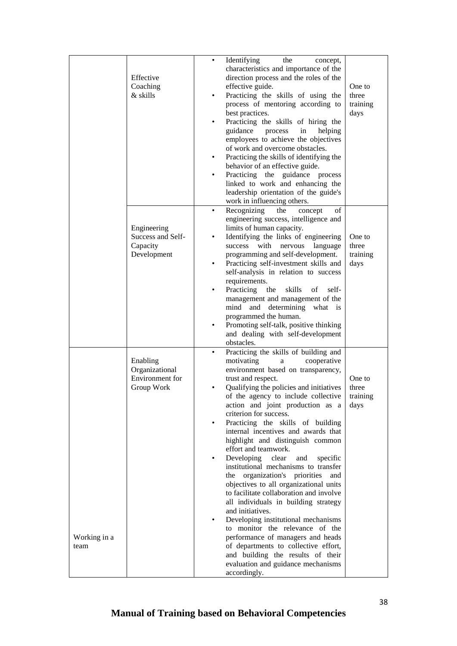|                      | Effective<br>Coaching<br>& skills                           | Identifying<br>the<br>concept,<br>٠<br>characteristics and importance of the<br>direction process and the roles of the<br>effective guide.<br>Practicing the skills of using the<br>٠<br>process of mentoring according to<br>best practices.<br>Practicing the skills of hiring the<br>guidance<br>process<br>in<br>helping<br>employees to achieve the objectives<br>of work and overcome obstacles.<br>Practicing the skills of identifying the<br>٠<br>behavior of an effective guide.<br>Practicing the guidance process<br>٠<br>linked to work and enhancing the<br>leadership orientation of the guide's<br>work in influencing others.                                                                                                                                                                                                                                                                                                                        | One to<br>three<br>training<br>days |
|----------------------|-------------------------------------------------------------|-----------------------------------------------------------------------------------------------------------------------------------------------------------------------------------------------------------------------------------------------------------------------------------------------------------------------------------------------------------------------------------------------------------------------------------------------------------------------------------------------------------------------------------------------------------------------------------------------------------------------------------------------------------------------------------------------------------------------------------------------------------------------------------------------------------------------------------------------------------------------------------------------------------------------------------------------------------------------|-------------------------------------|
|                      | Engineering<br>Success and Self-<br>Capacity<br>Development | Recognizing<br>the<br>of<br>concept<br>٠<br>engineering success, intelligence and<br>limits of human capacity.<br>Identifying the links of engineering<br>with<br>nervous<br>language<br>success<br>programming and self-development.<br>Practicing self-investment skills and<br>٠<br>self-analysis in relation to success<br>requirements.<br>Practicing<br>the<br>skills<br>of<br>self-<br>٠<br>management and management of the<br>determining<br>mind and<br>what is<br>programmed the human.<br>Promoting self-talk, positive thinking<br>and dealing with self-development<br>obstacles.                                                                                                                                                                                                                                                                                                                                                                       | One to<br>three<br>training<br>days |
| Working in a<br>team | Enabling<br>Organizational<br>Environment for<br>Group Work | Practicing the skills of building and<br>motivating<br>cooperative<br>a<br>environment based on transparency,<br>trust and respect.<br>Qualifying the policies and initiatives<br>٠<br>of the agency to include collective<br>action and joint production as a<br>criterion for success.<br>Practicing the skills of building<br>٠<br>internal incentives and awards that<br>highlight and distinguish common<br>effort and teamwork.<br>Developing<br>clear<br>and<br>specific<br>institutional mechanisms to transfer<br>organization's priorities<br>the<br>and<br>objectives to all organizational units<br>to facilitate collaboration and involve<br>all individuals in building strategy<br>and initiatives.<br>Developing institutional mechanisms<br>to monitor the relevance of the<br>performance of managers and heads<br>of departments to collective effort,<br>and building the results of their<br>evaluation and guidance mechanisms<br>accordingly. | One to<br>three<br>training<br>days |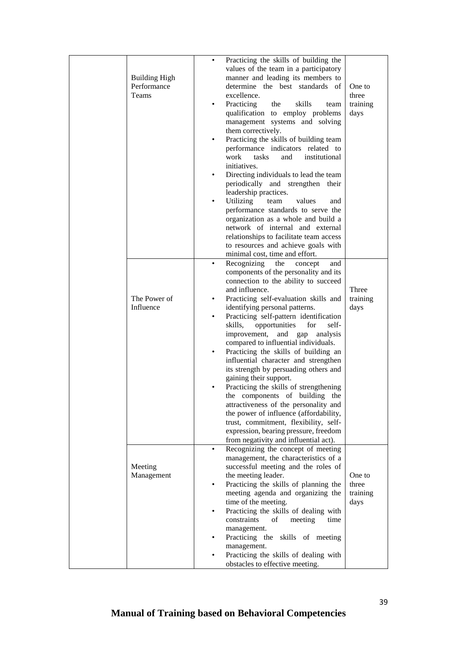|                      | ٠         | Practicing the skills of building the    |          |
|----------------------|-----------|------------------------------------------|----------|
|                      |           | values of the team in a participatory    |          |
| <b>Building High</b> |           | manner and leading its members to        |          |
| Performance          |           | determine the best standards of          | One to   |
| Teams                |           | excellence.                              | three    |
|                      |           |                                          |          |
|                      | ٠         | Practicing<br>the<br>skills<br>team      | training |
|                      |           | qualification to employ problems         | days     |
|                      |           | management systems and solving           |          |
|                      |           | them correctively.                       |          |
|                      | $\bullet$ | Practicing the skills of building team   |          |
|                      |           | performance indicators related to        |          |
|                      |           | work<br>tasks<br>and<br>institutional    |          |
|                      |           | initiatives.                             |          |
|                      | $\bullet$ | Directing individuals to lead the team   |          |
|                      |           | periodically and strengthen their        |          |
|                      |           |                                          |          |
|                      |           | leadership practices.                    |          |
|                      |           | Utilizing<br>values<br>team<br>and       |          |
|                      |           | performance standards to serve the       |          |
|                      |           | organization as a whole and build a      |          |
|                      |           | network of internal and external         |          |
|                      |           | relationships to facilitate team access  |          |
|                      |           | to resources and achieve goals with      |          |
|                      |           | minimal cost, time and effort.           |          |
|                      | $\bullet$ | Recognizing<br>the<br>concept<br>and     |          |
|                      |           | components of the personality and its    |          |
|                      |           | connection to the ability to succeed     |          |
|                      |           |                                          |          |
|                      |           | and influence.                           | Three    |
| The Power of         | ٠         | Practicing self-evaluation skills and    | training |
| Influence            |           | identifying personal patterns.           | days     |
|                      | $\bullet$ | Practicing self-pattern identification   |          |
|                      |           | opportunities<br>skills,<br>for<br>self- |          |
|                      |           | improvement,<br>and gap<br>analysis      |          |
|                      |           | compared to influential individuals.     |          |
|                      | $\bullet$ | Practicing the skills of building an     |          |
|                      |           | influential character and strengthen     |          |
|                      |           | its strength by persuading others and    |          |
|                      |           | gaining their support.                   |          |
|                      |           | Practicing the skills of strengthening   |          |
|                      |           |                                          |          |
|                      |           | the components of building the           |          |
|                      |           | attractiveness of the personality and    |          |
|                      |           | the power of influence (affordability,   |          |
|                      |           | trust, commitment, flexibility, self-    |          |
|                      |           | expression, bearing pressure, freedom    |          |
|                      |           | from negativity and influential act).    |          |
|                      | ٠         | Recognizing the concept of meeting       |          |
|                      |           | management, the characteristics of a     |          |
| Meeting              |           | successful meeting and the roles of      |          |
| Management           |           | the meeting leader.                      | One to   |
|                      | $\bullet$ | Practicing the skills of planning the    | three    |
|                      |           | meeting agenda and organizing the        | training |
|                      |           | time of the meeting.                     | days     |
|                      | $\bullet$ | Practicing the skills of dealing with    |          |
|                      |           | constraints<br>of<br>meeting<br>time     |          |
|                      |           |                                          |          |
|                      |           | management.                              |          |
|                      |           | Practicing the skills of meeting         |          |
|                      |           | management.                              |          |
|                      |           | Practicing the skills of dealing with    |          |
|                      |           | obstacles to effective meeting.          |          |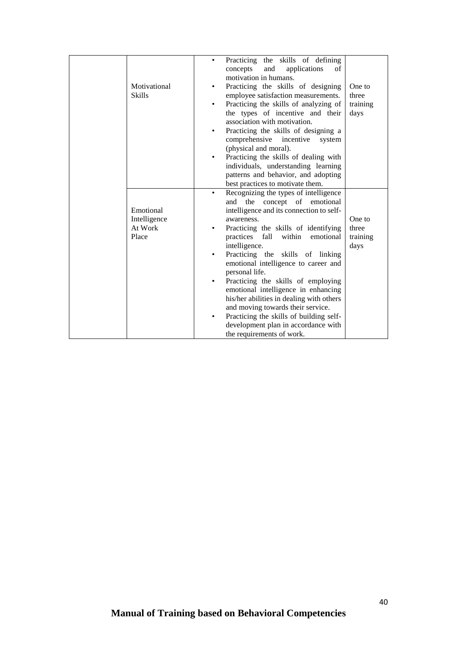|               | ٠ | Practicing the skills of defining<br>and<br>applications<br>concepts<br>of<br>motivation in humans. |          |
|---------------|---|-----------------------------------------------------------------------------------------------------|----------|
| Motivational  | ٠ | Practicing the skills of designing                                                                  | One to   |
| <b>Skills</b> |   | employee satisfaction measurements.                                                                 | three    |
|               | ٠ | Practicing the skills of analyzing of                                                               | training |
|               |   | the types of incentive and their                                                                    | days     |
|               |   | association with motivation.                                                                        |          |
|               |   | Practicing the skills of designing a                                                                |          |
|               |   | comprehensive<br>incentive<br>system                                                                |          |
|               |   | (physical and moral).                                                                               |          |
|               | ٠ | Practicing the skills of dealing with                                                               |          |
|               |   | individuals, understanding learning                                                                 |          |
|               |   | patterns and behavior, and adopting                                                                 |          |
|               |   | best practices to motivate them.                                                                    |          |
|               | ٠ | Recognizing the types of intelligence                                                               |          |
|               |   | and the concept of emotional                                                                        |          |
| Emotional     |   | intelligence and its connection to self-                                                            |          |
| Intelligence  |   | awareness.                                                                                          | One to   |
| At Work       |   | Practicing the skills of identifying                                                                | three    |
| Place         |   | practices<br>fall<br>within<br>emotional                                                            | training |
|               |   | intelligence.                                                                                       | days     |
|               | ٠ | Practicing the skills of linking                                                                    |          |
|               |   | emotional intelligence to career and                                                                |          |
|               |   | personal life.                                                                                      |          |
|               | ٠ | Practicing the skills of employing                                                                  |          |
|               |   | emotional intelligence in enhancing                                                                 |          |
|               |   | his/her abilities in dealing with others                                                            |          |
|               |   | and moving towards their service.                                                                   |          |
|               | ٠ | Practicing the skills of building self-                                                             |          |
|               |   | development plan in accordance with                                                                 |          |
|               |   | the requirements of work.                                                                           |          |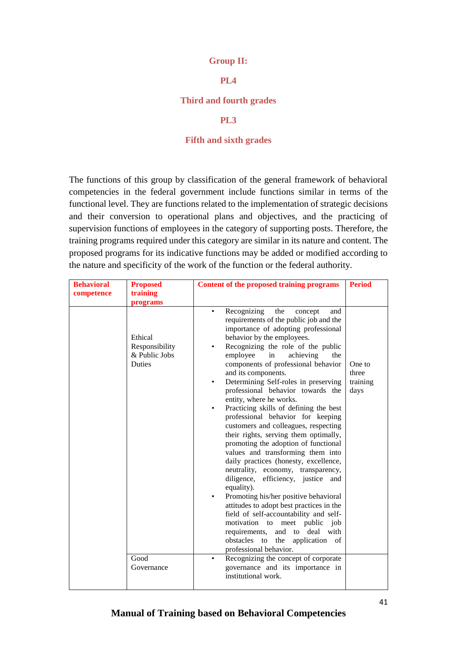#### **Group II:**

## **PL4**

#### **Third and fourth grades**

#### **PL3**

#### **Fifth and sixth grades**

The functions of this group by classification of the general framework of behavioral competencies in the federal government include functions similar in terms of the functional level. They are functions related to the implementation of strategic decisions and their conversion to operational plans and objectives, and the practicing of supervision functions of employees in the category of supporting posts. Therefore, the training programs required under this category are similar in its nature and content. The proposed programs for its indicative functions may be added or modified according to the nature and specificity of the work of the function or the federal authority.

| <b>Behavioral</b> | <b>Proposed</b>                                             | Content of the proposed training programs                                                                                                                                                                                                                                                                                                                                                                                                                                                                                                                                                                                                                                                                                                                                                                                                                                                                                                                                                                                                                                                                        | <b>Period</b>                       |
|-------------------|-------------------------------------------------------------|------------------------------------------------------------------------------------------------------------------------------------------------------------------------------------------------------------------------------------------------------------------------------------------------------------------------------------------------------------------------------------------------------------------------------------------------------------------------------------------------------------------------------------------------------------------------------------------------------------------------------------------------------------------------------------------------------------------------------------------------------------------------------------------------------------------------------------------------------------------------------------------------------------------------------------------------------------------------------------------------------------------------------------------------------------------------------------------------------------------|-------------------------------------|
| competence        | training<br>programs                                        |                                                                                                                                                                                                                                                                                                                                                                                                                                                                                                                                                                                                                                                                                                                                                                                                                                                                                                                                                                                                                                                                                                                  |                                     |
|                   | Ethical<br>Responsibility<br>& Public Jobs<br><b>Duties</b> | Recognizing<br>the<br>concept<br>and<br>requirements of the public job and the<br>importance of adopting professional<br>behavior by the employees.<br>Recognizing the role of the public<br>in<br>employee<br>achieving<br>the<br>components of professional behavior<br>and its components.<br>Determining Self-roles in preserving<br>$\bullet$<br>professional behavior towards the<br>entity, where he works.<br>Practicing skills of defining the best<br>$\bullet$<br>professional behavior for keeping<br>customers and colleagues, respecting<br>their rights, serving them optimally,<br>promoting the adoption of functional<br>values and transforming them into<br>daily practices (honesty, excellence,<br>neutrality, economy, transparency,<br>diligence, efficiency, justice and<br>equality).<br>Promoting his/her positive behavioral<br>$\bullet$<br>attitudes to adopt best practices in the<br>field of self-accountability and self-<br>motivation to<br>meet public<br>job<br>requirements,<br>and<br>deal with<br>to<br>obstacles to<br>application of<br>the<br>professional behavior. | One to<br>three<br>training<br>days |
|                   | Good<br>Governance                                          | Recognizing the concept of corporate<br>governance and its importance in<br>institutional work.                                                                                                                                                                                                                                                                                                                                                                                                                                                                                                                                                                                                                                                                                                                                                                                                                                                                                                                                                                                                                  |                                     |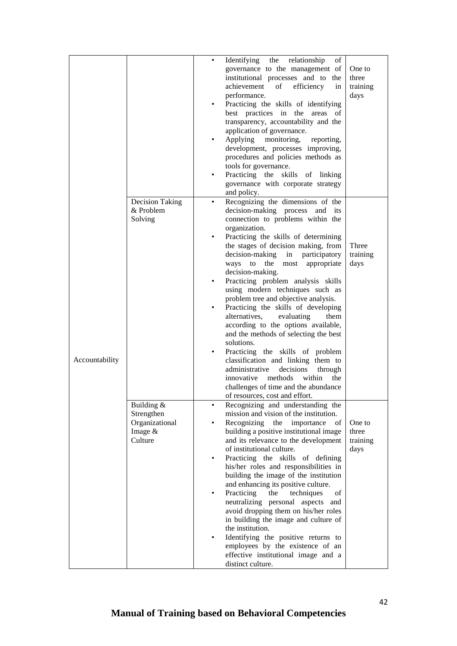|                |                                                                    | ٠<br>$\bullet$<br>٠         | Identifying<br>the relationship<br>οf<br>governance to the management of<br>institutional processes and to the<br>achievement<br>efficiency<br>of<br>in<br>performance.<br>Practicing the skills of identifying<br>best practices in the areas of<br>transparency, accountability and the<br>application of governance.<br>Applying<br>monitoring,<br>reporting,<br>development, processes improving,<br>procedures and policies methods as<br>tools for governance.<br>Practicing the skills of linking<br>governance with corporate strategy<br>and policy.                                                                                                                                                                                                                                                                                            | One to<br>three<br>training<br>days |
|----------------|--------------------------------------------------------------------|-----------------------------|----------------------------------------------------------------------------------------------------------------------------------------------------------------------------------------------------------------------------------------------------------------------------------------------------------------------------------------------------------------------------------------------------------------------------------------------------------------------------------------------------------------------------------------------------------------------------------------------------------------------------------------------------------------------------------------------------------------------------------------------------------------------------------------------------------------------------------------------------------|-------------------------------------|
| Accountability | <b>Decision Taking</b><br>& Problem<br>Solving                     | $\bullet$<br>$\bullet$      | Recognizing the dimensions of the<br>decision-making process and<br>its<br>connection to problems within the<br>organization.<br>Practicing the skills of determining<br>the stages of decision making, from<br>decision-making<br>in<br>participatory<br>ways to<br>the<br>most<br>appropriate<br>decision-making.<br>Practicing problem analysis skills<br>using modern techniques such as<br>problem tree and objective analysis.<br>Practicing the skills of developing<br>alternatives,<br>evaluating<br>them<br>according to the options available,<br>and the methods of selecting the best<br>solutions.<br>Practicing the skills of problem<br>classification and linking them to<br>administrative<br>decisions<br>through<br>innovative<br>methods<br>within<br>the<br>challenges of time and the abundance<br>of resources, cost and effort. | Three<br>training<br>days           |
|                | Building $&$<br>Strengthen<br>Organizational<br>Image &<br>Culture | $\bullet$<br>٠<br>$\bullet$ | Recognizing and understanding the<br>mission and vision of the institution.<br>Recognizing<br>the<br>importance<br>οf<br>building a positive institutional image<br>and its relevance to the development<br>of institutional culture.<br>Practicing the skills of defining<br>his/her roles and responsibilities in<br>building the image of the institution<br>and enhancing its positive culture.<br>Practicing<br>the<br>techniques<br>οf<br>neutralizing personal aspects and<br>avoid dropping them on his/her roles<br>in building the image and culture of<br>the institution.<br>Identifying the positive returns to<br>employees by the existence of an<br>effective institutional image and a<br>distinct culture.                                                                                                                             | One to<br>three<br>training<br>days |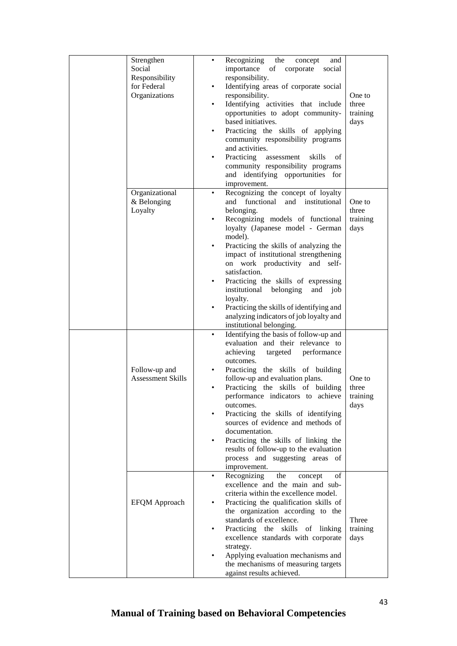| Strengthen<br>Social<br>Responsibility<br>for Federal<br>Organizations | Recognizing<br>the<br>concept<br>and<br>$\bullet$<br>importance of corporate<br>social<br>responsibility.<br>Identifying areas of corporate social<br>$\bullet$<br>responsibility.<br>Identifying activities that include<br>opportunities to adopt community-<br>based initiatives.<br>Practicing the skills of applying<br>$\bullet$<br>community responsibility programs<br>and activities.<br>Practicing<br>skills<br>assessment<br>of<br>$\bullet$<br>community responsibility programs<br>and identifying opportunities for<br>improvement.              | One to<br>three<br>training<br>days |
|------------------------------------------------------------------------|----------------------------------------------------------------------------------------------------------------------------------------------------------------------------------------------------------------------------------------------------------------------------------------------------------------------------------------------------------------------------------------------------------------------------------------------------------------------------------------------------------------------------------------------------------------|-------------------------------------|
| Organizational<br>& Belonging<br>Loyalty                               | Recognizing the concept of loyalty<br>$\bullet$<br>functional<br>and institutional<br>and<br>belonging.<br>Recognizing models of functional<br>loyalty (Japanese model - German<br>model).<br>Practicing the skills of analyzing the<br>impact of institutional strengthening<br>on work productivity and self-<br>satisfaction.<br>Practicing the skills of expressing<br>$\bullet$<br>institutional belonging<br>and<br>job<br>loyalty.<br>Practicing the skills of identifying and<br>analyzing indicators of job loyalty and<br>institutional belonging.   | One to<br>three<br>training<br>days |
| Follow-up and<br><b>Assessment Skills</b>                              | Identifying the basis of follow-up and<br>evaluation and their relevance to<br>achieving<br>performance<br>targeted<br>outcomes.<br>Practicing the skills of building<br>$\bullet$<br>follow-up and evaluation plans.<br>Practicing the skills of building<br>$\bullet$<br>performance indicators to achieve<br>outcomes.<br>Practicing the skills of identifying<br>sources of evidence and methods of<br>documentation.<br>Practicing the skills of linking the<br>results of follow-up to the evaluation<br>process and suggesting areas of<br>improvement. | One to<br>three<br>training<br>days |
| <b>EFQM</b> Approach                                                   | Recognizing<br>the<br>concept<br>οf<br>$\bullet$<br>excellence and the main and sub-<br>criteria within the excellence model.<br>Practicing the qualification skills of<br>the organization according to the<br>standards of excellence.<br>Practicing the skills<br>of linking<br>excellence standards with corporate<br>strategy.<br>Applying evaluation mechanisms and<br>the mechanisms of measuring targets<br>against results achieved.                                                                                                                  | Three<br>training<br>days           |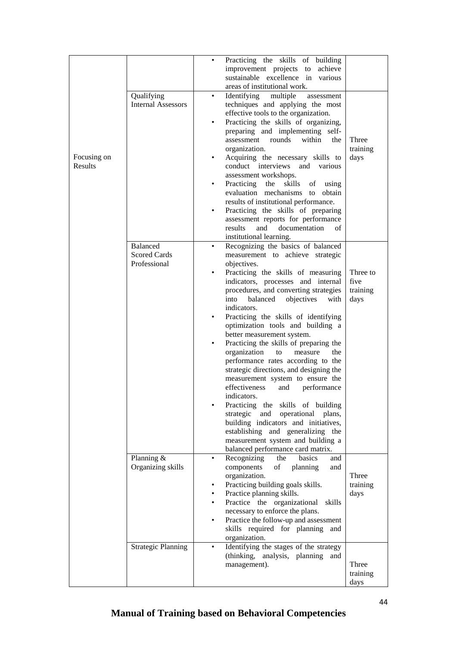|             |                           | ٠         | Practicing the skills of building          |          |
|-------------|---------------------------|-----------|--------------------------------------------|----------|
|             |                           |           | improvement projects to<br>achieve         |          |
|             |                           |           | sustainable excellence in<br>various       |          |
|             |                           |           |                                            |          |
|             |                           |           | areas of institutional work.               |          |
|             | Qualifying                | ٠         | Identifying<br>multiple<br>assessment      |          |
|             | <b>Internal Assessors</b> |           | techniques and applying the most           |          |
|             |                           |           | effective tools to the organization.       |          |
|             |                           | $\bullet$ | Practicing the skills of organizing,       |          |
|             |                           |           | preparing and implementing self-           |          |
|             |                           |           | assessment rounds<br>within<br>the         | Three    |
|             |                           |           | organization.                              | training |
| Focusing on |                           | ٠         | Acquiring the necessary skills to          | days     |
| Results     |                           |           | conduct interviews                         |          |
|             |                           |           | and<br>various                             |          |
|             |                           |           | assessment workshops.                      |          |
|             |                           | ٠         | Practicing<br>skills<br>the<br>of<br>using |          |
|             |                           |           | evaluation mechanisms<br>obtain<br>to      |          |
|             |                           |           | results of institutional performance.      |          |
|             |                           |           | Practicing the skills of preparing         |          |
|             |                           |           | assessment reports for performance         |          |
|             |                           |           | results<br>and<br>documentation<br>of      |          |
|             |                           |           | institutional learning.                    |          |
|             | <b>Balanced</b>           | $\bullet$ | Recognizing the basics of balanced         |          |
|             | <b>Scored Cards</b>       |           | measurement to achieve strategic           |          |
|             | Professional              |           |                                            |          |
|             |                           |           | objectives.                                |          |
|             |                           | $\bullet$ | Practicing the skills of measuring         | Three to |
|             |                           |           | indicators, processes and internal         | five     |
|             |                           |           | procedures, and converting strategies      | training |
|             |                           |           | balanced<br>into<br>objectives<br>with     | days     |
|             |                           |           | indicators.                                |          |
|             |                           | ٠         | Practicing the skills of identifying       |          |
|             |                           |           | optimization tools and building a          |          |
|             |                           |           | better measurement system.                 |          |
|             |                           |           | Practicing the skills of preparing the     |          |
|             |                           |           | organization<br>measure<br>to<br>the       |          |
|             |                           |           | performance rates according to the         |          |
|             |                           |           |                                            |          |
|             |                           |           | strategic directions, and designing the    |          |
|             |                           |           | measurement system to ensure the           |          |
|             |                           |           | effectiveness<br>performance<br>and        |          |
|             |                           |           | indicators.                                |          |
|             |                           |           | Practicing the skills of building          |          |
|             |                           |           | strategic and<br>operational<br>plans,     |          |
|             |                           |           | building indicators and initiatives,       |          |
|             |                           |           | establishing and generalizing the          |          |
|             |                           |           | measurement system and building a          |          |
|             |                           |           | balanced performance card matrix.          |          |
|             | Planning &                | $\bullet$ | Recognizing<br><b>basics</b><br>the<br>and |          |
|             | Organizing skills         |           | components<br>of<br>planning<br>and        |          |
|             |                           |           | organization.                              | Three    |
|             |                           | ٠         | Practicing building goals skills.          | training |
|             |                           |           | Practice planning skills.                  | days     |
|             |                           |           | Practice the organizational<br>skills      |          |
|             |                           |           |                                            |          |
|             |                           |           | necessary to enforce the plans.            |          |
|             |                           |           | Practice the follow-up and assessment      |          |
|             |                           |           | skills required for planning and           |          |
|             |                           |           | organization.                              |          |
|             | <b>Strategic Planning</b> |           | Identifying the stages of the strategy     |          |
|             |                           |           | (thinking, analysis, planning and          |          |
|             |                           |           | management).                               | Three    |
|             |                           |           |                                            | training |
|             |                           |           |                                            | days     |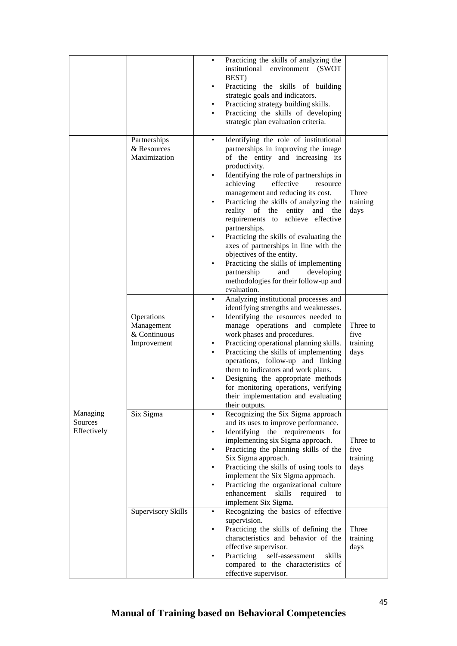|                                    |                                                         | Practicing the skills of analyzing the<br>٠<br>institutional environment (SWOT<br>BEST)<br>Practicing the skills of building<br>٠<br>strategic goals and indicators.<br>Practicing strategy building skills.<br>٠<br>Practicing the skills of developing<br>٠<br>strategic plan evaluation criteria.                                                                                                                                                                                                                                                                                                                                                                   |                                      |
|------------------------------------|---------------------------------------------------------|------------------------------------------------------------------------------------------------------------------------------------------------------------------------------------------------------------------------------------------------------------------------------------------------------------------------------------------------------------------------------------------------------------------------------------------------------------------------------------------------------------------------------------------------------------------------------------------------------------------------------------------------------------------------|--------------------------------------|
|                                    | Partnerships<br>& Resources<br>Maximization             | Identifying the role of institutional<br>٠<br>partnerships in improving the image<br>of the entity and increasing its<br>productivity.<br>Identifying the role of partnerships in<br>٠<br>achieving<br>effective<br>resource<br>management and reducing its cost.<br>Practicing the skills of analyzing the<br>reality of the<br>entity<br>and<br>the<br>requirements to achieve effective<br>partnerships.<br>Practicing the skills of evaluating the<br>axes of partnerships in line with the<br>objectives of the entity.<br>Practicing the skills of implementing<br>٠<br>partnership<br>developing<br>and<br>methodologies for their follow-up and<br>evaluation. | Three<br>training<br>days            |
|                                    | Operations<br>Management<br>& Continuous<br>Improvement | Analyzing institutional processes and<br>٠<br>identifying strengths and weaknesses.<br>Identifying the resources needed to<br>manage operations and complete<br>work phases and procedures.<br>Practicing operational planning skills.<br>٠<br>Practicing the skills of implementing<br>operations, follow-up and linking<br>them to indicators and work plans.<br>Designing the appropriate methods<br>٠<br>for monitoring operations, verifying<br>their implementation and evaluating<br>their outputs.                                                                                                                                                             | Three to<br>five<br>training<br>days |
| Managing<br>Sources<br>Effectively | Six Sigma                                               | Recognizing the Six Sigma approach<br>٠<br>and its uses to improve performance.<br>Identifying the requirements for<br>implementing six Sigma approach.<br>Practicing the planning skills of the<br>Six Sigma approach.<br>Practicing the skills of using tools to<br>٠<br>implement the Six Sigma approach.<br>Practicing the organizational culture<br>٠<br>enhancement<br>skills<br>required<br>to<br>implement Six Sigma.                                                                                                                                                                                                                                          | Three to<br>five<br>training<br>days |
|                                    | Supervisory Skills                                      | Recognizing the basics of effective<br>$\bullet$<br>supervision.<br>Practicing the skills of defining the<br>٠<br>characteristics and behavior of the<br>effective supervisor.<br>Practicing<br>self-assessment<br>skills<br>compared to the characteristics of<br>effective supervisor.                                                                                                                                                                                                                                                                                                                                                                               | Three<br>training<br>days            |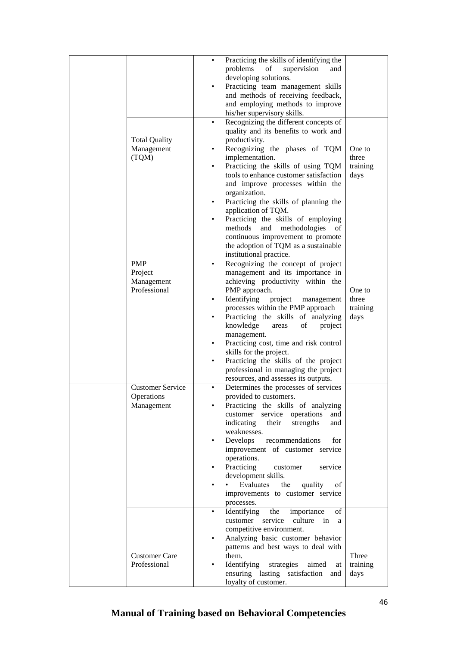|                         |           | Practicing the skills of identifying the |          |
|-------------------------|-----------|------------------------------------------|----------|
|                         |           | problems<br>of<br>supervision<br>and     |          |
|                         |           | developing solutions.                    |          |
|                         |           |                                          |          |
|                         | ٠         | Practicing team management skills        |          |
|                         |           | and methods of receiving feedback,       |          |
|                         |           | and employing methods to improve         |          |
|                         |           | his/her supervisory skills.              |          |
|                         |           |                                          |          |
|                         | $\bullet$ | Recognizing the different concepts of    |          |
|                         |           | quality and its benefits to work and     |          |
| <b>Total Quality</b>    |           | productivity.                            |          |
| Management              | ٠         | Recognizing the phases of TQM            | One to   |
|                         |           |                                          |          |
| (TQM)                   |           | implementation.                          | three    |
|                         | ٠         | Practicing the skills of using TQM       | training |
|                         |           | tools to enhance customer satisfaction   | days     |
|                         |           | and improve processes within the         |          |
|                         |           |                                          |          |
|                         |           | organization.                            |          |
|                         | ٠         | Practicing the skills of planning the    |          |
|                         |           | application of TQM.                      |          |
|                         |           | Practicing the skills of employing       |          |
|                         |           | methods<br>and<br>methodologies          |          |
|                         |           | οf                                       |          |
|                         |           | continuous improvement to promote        |          |
|                         |           | the adoption of TQM as a sustainable     |          |
|                         |           | institutional practice.                  |          |
| <b>PMP</b>              | ٠         | Recognizing the concept of project       |          |
|                         |           |                                          |          |
| Project                 |           | management and its importance in         |          |
| Management              |           | achieving productivity within the        |          |
| Professional            |           | PMP approach.                            | One to   |
|                         | $\bullet$ | Identifying<br>project<br>management     | three    |
|                         |           |                                          |          |
|                         |           | processes within the PMP approach        | training |
|                         | ٠         | Practicing the skills of analyzing       | days     |
|                         |           | knowledge<br>of<br>project<br>areas      |          |
|                         |           | management.                              |          |
|                         | ٠         | Practicing cost, time and risk control   |          |
|                         |           |                                          |          |
|                         |           | skills for the project.                  |          |
|                         | ٠         | Practicing the skills of the project     |          |
|                         |           | professional in managing the project     |          |
|                         |           | resources, and assesses its outputs.     |          |
|                         |           |                                          |          |
| <b>Customer Service</b> | ٠         | Determines the processes of services     |          |
| Operations              |           | provided to customers.                   |          |
| Management              |           | Practicing the skills of analyzing       |          |
|                         |           | operations<br>customer service<br>and    |          |
|                         |           |                                          |          |
|                         |           | indicating<br>strengths<br>their<br>and  |          |
|                         |           | weaknesses.                              |          |
|                         |           | Develops<br>recommendations<br>for       |          |
|                         |           | improvement of customer service          |          |
|                         |           | operations.                              |          |
|                         |           |                                          |          |
|                         |           | Practicing<br>customer<br>service        |          |
|                         |           | development skills.                      |          |
|                         |           | Evaluates the<br>quality<br>οf           |          |
|                         |           | improvements to customer service         |          |
|                         |           |                                          |          |
|                         |           | processes.                               |          |
|                         | $\bullet$ | Identifying<br>the<br>importance<br>οf   |          |
|                         |           | culture<br>customer service<br>in<br>a   |          |
|                         |           | competitive environment.                 |          |
|                         | ٠         | Analyzing basic customer behavior        |          |
|                         |           |                                          |          |
|                         |           | patterns and best ways to deal with      |          |
| <b>Customer Care</b>    |           | them.                                    | Three    |
| Professional            |           | Identifying<br>strategies<br>aimed<br>at | training |
|                         |           | ensuring lasting satisfaction and        | days     |
|                         |           | loyalty of customer.                     |          |
|                         |           |                                          |          |

# **Manual of Training based on Behavioral Competencies**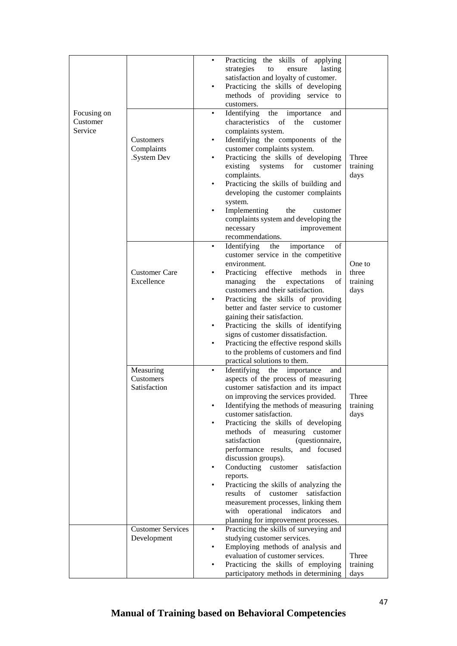| Focusing on         |                                         | Practicing the skills of applying<br>$\bullet$<br>strategies<br>lasting<br>to<br>ensure<br>satisfaction and loyalty of customer.<br>Practicing the skills of developing<br>methods of providing service to<br>customers.<br>Identifying<br>the<br>importance<br>٠<br>and                                                                                                                                                                                                                                                                                                                                                                                                            |                                     |
|---------------------|-----------------------------------------|-------------------------------------------------------------------------------------------------------------------------------------------------------------------------------------------------------------------------------------------------------------------------------------------------------------------------------------------------------------------------------------------------------------------------------------------------------------------------------------------------------------------------------------------------------------------------------------------------------------------------------------------------------------------------------------|-------------------------------------|
| Customer<br>Service | Customers<br>Complaints<br>.System Dev  | characteristics of<br>the customer<br>complaints system.<br>Identifying the components of the<br>٠<br>customer complaints system.<br>Practicing the skills of developing<br>٠<br>existing<br>systems<br>for<br>customer<br>complaints.<br>Practicing the skills of building and<br>developing the customer complaints<br>system.<br>Implementing<br>the<br>customer<br>complaints system and developing the<br>necessary<br>improvement<br>recommendations.                                                                                                                                                                                                                         | Three<br>training<br>days           |
|                     | <b>Customer Care</b><br>Excellence      | Identifying<br>importance<br>of<br>the<br>$\bullet$<br>customer service in the competitive<br>environment.<br>Practicing<br>effective<br>methods<br>in<br>٠<br>managing<br>the<br>expectations<br>οf<br>customers and their satisfaction.<br>Practicing the skills of providing<br>٠<br>better and faster service to customer<br>gaining their satisfaction.<br>Practicing the skills of identifying<br>signs of customer dissatisfaction.<br>Practicing the effective respond skills<br>to the problems of customers and find<br>practical solutions to them.                                                                                                                      | One to<br>three<br>training<br>days |
|                     | Measuring<br>Customers<br>Satisfaction  | Identifying the<br>importance<br>and<br>٠<br>aspects of the process of measuring<br>customer satisfaction and its impact<br>on improving the services provided.<br>Identifying the methods of measuring<br>customer satisfaction.<br>Practicing the skills of developing<br>methods of measuring customer<br>satisfaction<br>(questionnaire,<br>performance results,<br>and focused<br>discussion groups).<br>Conducting customer<br>satisfaction<br>٠<br>reports.<br>Practicing the skills of analyzing the<br>results<br>of<br>customer<br>satisfaction<br>measurement processes, linking them<br>operational<br>with<br>indicators<br>and<br>planning for improvement processes. | Three<br>training<br>days           |
|                     | <b>Customer Services</b><br>Development | Practicing the skills of surveying and<br>studying customer services.<br>Employing methods of analysis and<br>evaluation of customer services.<br>Practicing the skills of employing<br>participatory methods in determining                                                                                                                                                                                                                                                                                                                                                                                                                                                        | Three<br>training<br>days           |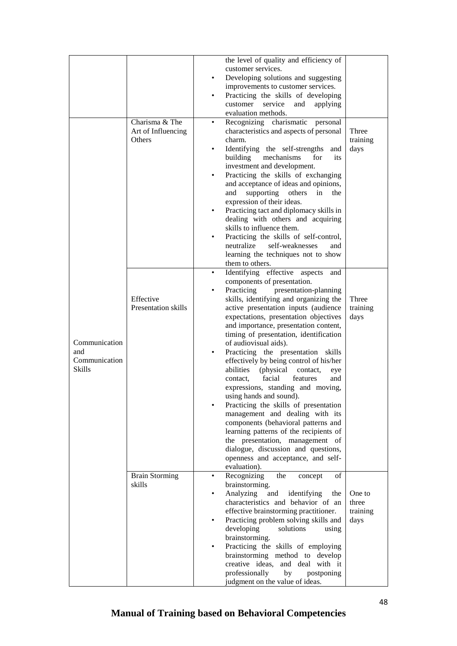| customer services.<br>Developing solutions and suggesting<br>$\bullet$<br>improvements to customer services.<br>Practicing the skills of developing<br>customer<br>service<br>and<br>applying<br>evaluation methods.<br>Charisma & The<br>Recognizing charismatic personal<br>Art of Influencing<br>characteristics and aspects of personal<br>Three<br>Others<br>training<br>charm.<br>Identifying the self-strengths and<br>days<br>building<br>mechanisms<br>for<br>its<br>investment and development.<br>Practicing the skills of exchanging<br>$\bullet$<br>and acceptance of ideas and opinions,<br>supporting<br>others<br>in<br>and<br>the<br>expression of their ideas.<br>Practicing tact and diplomacy skills in<br>dealing with others and acquiring<br>skills to influence them.<br>Practicing the skills of self-control,<br>neutralize<br>self-weaknesses<br>and<br>learning the techniques not to show<br>them to others.<br>Identifying effective aspects<br>and<br>$\bullet$<br>components of presentation.<br>Practicing<br>presentation-planning<br>٠<br>skills, identifying and organizing the<br>Effective<br>Three<br><b>Presentation skills</b><br>active presentation inputs (audience<br>training<br>expectations, presentation objectives<br>days<br>and importance, presentation content,<br>timing of presentation, identification<br>Communication<br>of audiovisual aids).<br>and<br>Practicing the presentation skills<br>$\bullet$<br>Communication<br>effectively by being control of his/her<br><b>Skills</b><br>abilities<br>(physical)<br>contact.<br>eye<br>facial<br>features<br>and<br>contact.<br>expressions, standing and moving,<br>using hands and sound).<br>Practicing the skills of presentation<br>management and dealing with its<br>components (behavioral patterns and<br>learning patterns of the recipients of<br>the presentation, management of<br>dialogue, discussion and questions,<br>openness and acceptance, and self-<br>evaluation).<br><b>Brain Storming</b><br>Recognizing<br>the<br>concept<br>οf<br>$\bullet$<br>brainstorming.<br>skills<br>Analyzing<br>and<br>identifying<br>One to<br>the<br>characteristics and behavior of an<br>three<br>effective brainstorming practitioner.<br>training<br>Practicing problem solving skills and<br>days<br>developing<br>solutions<br>using<br>brainstorming.<br>Practicing the skills of employing<br>brainstorming method to develop<br>creative ideas, and deal with it |  | the level of quality and efficiency of |  |
|-------------------------------------------------------------------------------------------------------------------------------------------------------------------------------------------------------------------------------------------------------------------------------------------------------------------------------------------------------------------------------------------------------------------------------------------------------------------------------------------------------------------------------------------------------------------------------------------------------------------------------------------------------------------------------------------------------------------------------------------------------------------------------------------------------------------------------------------------------------------------------------------------------------------------------------------------------------------------------------------------------------------------------------------------------------------------------------------------------------------------------------------------------------------------------------------------------------------------------------------------------------------------------------------------------------------------------------------------------------------------------------------------------------------------------------------------------------------------------------------------------------------------------------------------------------------------------------------------------------------------------------------------------------------------------------------------------------------------------------------------------------------------------------------------------------------------------------------------------------------------------------------------------------------------------------------------------------------------------------------------------------------------------------------------------------------------------------------------------------------------------------------------------------------------------------------------------------------------------------------------------------------------------------------------------------------------------------------------------------------------------------------------------------------------------------------------------------------------------------------|--|----------------------------------------|--|
|                                                                                                                                                                                                                                                                                                                                                                                                                                                                                                                                                                                                                                                                                                                                                                                                                                                                                                                                                                                                                                                                                                                                                                                                                                                                                                                                                                                                                                                                                                                                                                                                                                                                                                                                                                                                                                                                                                                                                                                                                                                                                                                                                                                                                                                                                                                                                                                                                                                                                           |  |                                        |  |
|                                                                                                                                                                                                                                                                                                                                                                                                                                                                                                                                                                                                                                                                                                                                                                                                                                                                                                                                                                                                                                                                                                                                                                                                                                                                                                                                                                                                                                                                                                                                                                                                                                                                                                                                                                                                                                                                                                                                                                                                                                                                                                                                                                                                                                                                                                                                                                                                                                                                                           |  |                                        |  |
|                                                                                                                                                                                                                                                                                                                                                                                                                                                                                                                                                                                                                                                                                                                                                                                                                                                                                                                                                                                                                                                                                                                                                                                                                                                                                                                                                                                                                                                                                                                                                                                                                                                                                                                                                                                                                                                                                                                                                                                                                                                                                                                                                                                                                                                                                                                                                                                                                                                                                           |  |                                        |  |
|                                                                                                                                                                                                                                                                                                                                                                                                                                                                                                                                                                                                                                                                                                                                                                                                                                                                                                                                                                                                                                                                                                                                                                                                                                                                                                                                                                                                                                                                                                                                                                                                                                                                                                                                                                                                                                                                                                                                                                                                                                                                                                                                                                                                                                                                                                                                                                                                                                                                                           |  |                                        |  |
|                                                                                                                                                                                                                                                                                                                                                                                                                                                                                                                                                                                                                                                                                                                                                                                                                                                                                                                                                                                                                                                                                                                                                                                                                                                                                                                                                                                                                                                                                                                                                                                                                                                                                                                                                                                                                                                                                                                                                                                                                                                                                                                                                                                                                                                                                                                                                                                                                                                                                           |  |                                        |  |
|                                                                                                                                                                                                                                                                                                                                                                                                                                                                                                                                                                                                                                                                                                                                                                                                                                                                                                                                                                                                                                                                                                                                                                                                                                                                                                                                                                                                                                                                                                                                                                                                                                                                                                                                                                                                                                                                                                                                                                                                                                                                                                                                                                                                                                                                                                                                                                                                                                                                                           |  |                                        |  |
|                                                                                                                                                                                                                                                                                                                                                                                                                                                                                                                                                                                                                                                                                                                                                                                                                                                                                                                                                                                                                                                                                                                                                                                                                                                                                                                                                                                                                                                                                                                                                                                                                                                                                                                                                                                                                                                                                                                                                                                                                                                                                                                                                                                                                                                                                                                                                                                                                                                                                           |  |                                        |  |
|                                                                                                                                                                                                                                                                                                                                                                                                                                                                                                                                                                                                                                                                                                                                                                                                                                                                                                                                                                                                                                                                                                                                                                                                                                                                                                                                                                                                                                                                                                                                                                                                                                                                                                                                                                                                                                                                                                                                                                                                                                                                                                                                                                                                                                                                                                                                                                                                                                                                                           |  |                                        |  |
|                                                                                                                                                                                                                                                                                                                                                                                                                                                                                                                                                                                                                                                                                                                                                                                                                                                                                                                                                                                                                                                                                                                                                                                                                                                                                                                                                                                                                                                                                                                                                                                                                                                                                                                                                                                                                                                                                                                                                                                                                                                                                                                                                                                                                                                                                                                                                                                                                                                                                           |  |                                        |  |
|                                                                                                                                                                                                                                                                                                                                                                                                                                                                                                                                                                                                                                                                                                                                                                                                                                                                                                                                                                                                                                                                                                                                                                                                                                                                                                                                                                                                                                                                                                                                                                                                                                                                                                                                                                                                                                                                                                                                                                                                                                                                                                                                                                                                                                                                                                                                                                                                                                                                                           |  |                                        |  |
|                                                                                                                                                                                                                                                                                                                                                                                                                                                                                                                                                                                                                                                                                                                                                                                                                                                                                                                                                                                                                                                                                                                                                                                                                                                                                                                                                                                                                                                                                                                                                                                                                                                                                                                                                                                                                                                                                                                                                                                                                                                                                                                                                                                                                                                                                                                                                                                                                                                                                           |  |                                        |  |
|                                                                                                                                                                                                                                                                                                                                                                                                                                                                                                                                                                                                                                                                                                                                                                                                                                                                                                                                                                                                                                                                                                                                                                                                                                                                                                                                                                                                                                                                                                                                                                                                                                                                                                                                                                                                                                                                                                                                                                                                                                                                                                                                                                                                                                                                                                                                                                                                                                                                                           |  |                                        |  |
|                                                                                                                                                                                                                                                                                                                                                                                                                                                                                                                                                                                                                                                                                                                                                                                                                                                                                                                                                                                                                                                                                                                                                                                                                                                                                                                                                                                                                                                                                                                                                                                                                                                                                                                                                                                                                                                                                                                                                                                                                                                                                                                                                                                                                                                                                                                                                                                                                                                                                           |  |                                        |  |
|                                                                                                                                                                                                                                                                                                                                                                                                                                                                                                                                                                                                                                                                                                                                                                                                                                                                                                                                                                                                                                                                                                                                                                                                                                                                                                                                                                                                                                                                                                                                                                                                                                                                                                                                                                                                                                                                                                                                                                                                                                                                                                                                                                                                                                                                                                                                                                                                                                                                                           |  |                                        |  |
|                                                                                                                                                                                                                                                                                                                                                                                                                                                                                                                                                                                                                                                                                                                                                                                                                                                                                                                                                                                                                                                                                                                                                                                                                                                                                                                                                                                                                                                                                                                                                                                                                                                                                                                                                                                                                                                                                                                                                                                                                                                                                                                                                                                                                                                                                                                                                                                                                                                                                           |  |                                        |  |
|                                                                                                                                                                                                                                                                                                                                                                                                                                                                                                                                                                                                                                                                                                                                                                                                                                                                                                                                                                                                                                                                                                                                                                                                                                                                                                                                                                                                                                                                                                                                                                                                                                                                                                                                                                                                                                                                                                                                                                                                                                                                                                                                                                                                                                                                                                                                                                                                                                                                                           |  |                                        |  |
|                                                                                                                                                                                                                                                                                                                                                                                                                                                                                                                                                                                                                                                                                                                                                                                                                                                                                                                                                                                                                                                                                                                                                                                                                                                                                                                                                                                                                                                                                                                                                                                                                                                                                                                                                                                                                                                                                                                                                                                                                                                                                                                                                                                                                                                                                                                                                                                                                                                                                           |  |                                        |  |
|                                                                                                                                                                                                                                                                                                                                                                                                                                                                                                                                                                                                                                                                                                                                                                                                                                                                                                                                                                                                                                                                                                                                                                                                                                                                                                                                                                                                                                                                                                                                                                                                                                                                                                                                                                                                                                                                                                                                                                                                                                                                                                                                                                                                                                                                                                                                                                                                                                                                                           |  |                                        |  |
|                                                                                                                                                                                                                                                                                                                                                                                                                                                                                                                                                                                                                                                                                                                                                                                                                                                                                                                                                                                                                                                                                                                                                                                                                                                                                                                                                                                                                                                                                                                                                                                                                                                                                                                                                                                                                                                                                                                                                                                                                                                                                                                                                                                                                                                                                                                                                                                                                                                                                           |  |                                        |  |
|                                                                                                                                                                                                                                                                                                                                                                                                                                                                                                                                                                                                                                                                                                                                                                                                                                                                                                                                                                                                                                                                                                                                                                                                                                                                                                                                                                                                                                                                                                                                                                                                                                                                                                                                                                                                                                                                                                                                                                                                                                                                                                                                                                                                                                                                                                                                                                                                                                                                                           |  |                                        |  |
|                                                                                                                                                                                                                                                                                                                                                                                                                                                                                                                                                                                                                                                                                                                                                                                                                                                                                                                                                                                                                                                                                                                                                                                                                                                                                                                                                                                                                                                                                                                                                                                                                                                                                                                                                                                                                                                                                                                                                                                                                                                                                                                                                                                                                                                                                                                                                                                                                                                                                           |  |                                        |  |
|                                                                                                                                                                                                                                                                                                                                                                                                                                                                                                                                                                                                                                                                                                                                                                                                                                                                                                                                                                                                                                                                                                                                                                                                                                                                                                                                                                                                                                                                                                                                                                                                                                                                                                                                                                                                                                                                                                                                                                                                                                                                                                                                                                                                                                                                                                                                                                                                                                                                                           |  |                                        |  |
|                                                                                                                                                                                                                                                                                                                                                                                                                                                                                                                                                                                                                                                                                                                                                                                                                                                                                                                                                                                                                                                                                                                                                                                                                                                                                                                                                                                                                                                                                                                                                                                                                                                                                                                                                                                                                                                                                                                                                                                                                                                                                                                                                                                                                                                                                                                                                                                                                                                                                           |  |                                        |  |
|                                                                                                                                                                                                                                                                                                                                                                                                                                                                                                                                                                                                                                                                                                                                                                                                                                                                                                                                                                                                                                                                                                                                                                                                                                                                                                                                                                                                                                                                                                                                                                                                                                                                                                                                                                                                                                                                                                                                                                                                                                                                                                                                                                                                                                                                                                                                                                                                                                                                                           |  |                                        |  |
|                                                                                                                                                                                                                                                                                                                                                                                                                                                                                                                                                                                                                                                                                                                                                                                                                                                                                                                                                                                                                                                                                                                                                                                                                                                                                                                                                                                                                                                                                                                                                                                                                                                                                                                                                                                                                                                                                                                                                                                                                                                                                                                                                                                                                                                                                                                                                                                                                                                                                           |  |                                        |  |
|                                                                                                                                                                                                                                                                                                                                                                                                                                                                                                                                                                                                                                                                                                                                                                                                                                                                                                                                                                                                                                                                                                                                                                                                                                                                                                                                                                                                                                                                                                                                                                                                                                                                                                                                                                                                                                                                                                                                                                                                                                                                                                                                                                                                                                                                                                                                                                                                                                                                                           |  |                                        |  |
|                                                                                                                                                                                                                                                                                                                                                                                                                                                                                                                                                                                                                                                                                                                                                                                                                                                                                                                                                                                                                                                                                                                                                                                                                                                                                                                                                                                                                                                                                                                                                                                                                                                                                                                                                                                                                                                                                                                                                                                                                                                                                                                                                                                                                                                                                                                                                                                                                                                                                           |  |                                        |  |
|                                                                                                                                                                                                                                                                                                                                                                                                                                                                                                                                                                                                                                                                                                                                                                                                                                                                                                                                                                                                                                                                                                                                                                                                                                                                                                                                                                                                                                                                                                                                                                                                                                                                                                                                                                                                                                                                                                                                                                                                                                                                                                                                                                                                                                                                                                                                                                                                                                                                                           |  |                                        |  |
|                                                                                                                                                                                                                                                                                                                                                                                                                                                                                                                                                                                                                                                                                                                                                                                                                                                                                                                                                                                                                                                                                                                                                                                                                                                                                                                                                                                                                                                                                                                                                                                                                                                                                                                                                                                                                                                                                                                                                                                                                                                                                                                                                                                                                                                                                                                                                                                                                                                                                           |  |                                        |  |
|                                                                                                                                                                                                                                                                                                                                                                                                                                                                                                                                                                                                                                                                                                                                                                                                                                                                                                                                                                                                                                                                                                                                                                                                                                                                                                                                                                                                                                                                                                                                                                                                                                                                                                                                                                                                                                                                                                                                                                                                                                                                                                                                                                                                                                                                                                                                                                                                                                                                                           |  |                                        |  |
|                                                                                                                                                                                                                                                                                                                                                                                                                                                                                                                                                                                                                                                                                                                                                                                                                                                                                                                                                                                                                                                                                                                                                                                                                                                                                                                                                                                                                                                                                                                                                                                                                                                                                                                                                                                                                                                                                                                                                                                                                                                                                                                                                                                                                                                                                                                                                                                                                                                                                           |  |                                        |  |
|                                                                                                                                                                                                                                                                                                                                                                                                                                                                                                                                                                                                                                                                                                                                                                                                                                                                                                                                                                                                                                                                                                                                                                                                                                                                                                                                                                                                                                                                                                                                                                                                                                                                                                                                                                                                                                                                                                                                                                                                                                                                                                                                                                                                                                                                                                                                                                                                                                                                                           |  |                                        |  |
|                                                                                                                                                                                                                                                                                                                                                                                                                                                                                                                                                                                                                                                                                                                                                                                                                                                                                                                                                                                                                                                                                                                                                                                                                                                                                                                                                                                                                                                                                                                                                                                                                                                                                                                                                                                                                                                                                                                                                                                                                                                                                                                                                                                                                                                                                                                                                                                                                                                                                           |  |                                        |  |
|                                                                                                                                                                                                                                                                                                                                                                                                                                                                                                                                                                                                                                                                                                                                                                                                                                                                                                                                                                                                                                                                                                                                                                                                                                                                                                                                                                                                                                                                                                                                                                                                                                                                                                                                                                                                                                                                                                                                                                                                                                                                                                                                                                                                                                                                                                                                                                                                                                                                                           |  |                                        |  |
|                                                                                                                                                                                                                                                                                                                                                                                                                                                                                                                                                                                                                                                                                                                                                                                                                                                                                                                                                                                                                                                                                                                                                                                                                                                                                                                                                                                                                                                                                                                                                                                                                                                                                                                                                                                                                                                                                                                                                                                                                                                                                                                                                                                                                                                                                                                                                                                                                                                                                           |  |                                        |  |
|                                                                                                                                                                                                                                                                                                                                                                                                                                                                                                                                                                                                                                                                                                                                                                                                                                                                                                                                                                                                                                                                                                                                                                                                                                                                                                                                                                                                                                                                                                                                                                                                                                                                                                                                                                                                                                                                                                                                                                                                                                                                                                                                                                                                                                                                                                                                                                                                                                                                                           |  |                                        |  |
|                                                                                                                                                                                                                                                                                                                                                                                                                                                                                                                                                                                                                                                                                                                                                                                                                                                                                                                                                                                                                                                                                                                                                                                                                                                                                                                                                                                                                                                                                                                                                                                                                                                                                                                                                                                                                                                                                                                                                                                                                                                                                                                                                                                                                                                                                                                                                                                                                                                                                           |  |                                        |  |
|                                                                                                                                                                                                                                                                                                                                                                                                                                                                                                                                                                                                                                                                                                                                                                                                                                                                                                                                                                                                                                                                                                                                                                                                                                                                                                                                                                                                                                                                                                                                                                                                                                                                                                                                                                                                                                                                                                                                                                                                                                                                                                                                                                                                                                                                                                                                                                                                                                                                                           |  |                                        |  |
|                                                                                                                                                                                                                                                                                                                                                                                                                                                                                                                                                                                                                                                                                                                                                                                                                                                                                                                                                                                                                                                                                                                                                                                                                                                                                                                                                                                                                                                                                                                                                                                                                                                                                                                                                                                                                                                                                                                                                                                                                                                                                                                                                                                                                                                                                                                                                                                                                                                                                           |  |                                        |  |
|                                                                                                                                                                                                                                                                                                                                                                                                                                                                                                                                                                                                                                                                                                                                                                                                                                                                                                                                                                                                                                                                                                                                                                                                                                                                                                                                                                                                                                                                                                                                                                                                                                                                                                                                                                                                                                                                                                                                                                                                                                                                                                                                                                                                                                                                                                                                                                                                                                                                                           |  |                                        |  |
|                                                                                                                                                                                                                                                                                                                                                                                                                                                                                                                                                                                                                                                                                                                                                                                                                                                                                                                                                                                                                                                                                                                                                                                                                                                                                                                                                                                                                                                                                                                                                                                                                                                                                                                                                                                                                                                                                                                                                                                                                                                                                                                                                                                                                                                                                                                                                                                                                                                                                           |  |                                        |  |
|                                                                                                                                                                                                                                                                                                                                                                                                                                                                                                                                                                                                                                                                                                                                                                                                                                                                                                                                                                                                                                                                                                                                                                                                                                                                                                                                                                                                                                                                                                                                                                                                                                                                                                                                                                                                                                                                                                                                                                                                                                                                                                                                                                                                                                                                                                                                                                                                                                                                                           |  |                                        |  |
|                                                                                                                                                                                                                                                                                                                                                                                                                                                                                                                                                                                                                                                                                                                                                                                                                                                                                                                                                                                                                                                                                                                                                                                                                                                                                                                                                                                                                                                                                                                                                                                                                                                                                                                                                                                                                                                                                                                                                                                                                                                                                                                                                                                                                                                                                                                                                                                                                                                                                           |  |                                        |  |
|                                                                                                                                                                                                                                                                                                                                                                                                                                                                                                                                                                                                                                                                                                                                                                                                                                                                                                                                                                                                                                                                                                                                                                                                                                                                                                                                                                                                                                                                                                                                                                                                                                                                                                                                                                                                                                                                                                                                                                                                                                                                                                                                                                                                                                                                                                                                                                                                                                                                                           |  |                                        |  |
|                                                                                                                                                                                                                                                                                                                                                                                                                                                                                                                                                                                                                                                                                                                                                                                                                                                                                                                                                                                                                                                                                                                                                                                                                                                                                                                                                                                                                                                                                                                                                                                                                                                                                                                                                                                                                                                                                                                                                                                                                                                                                                                                                                                                                                                                                                                                                                                                                                                                                           |  |                                        |  |
|                                                                                                                                                                                                                                                                                                                                                                                                                                                                                                                                                                                                                                                                                                                                                                                                                                                                                                                                                                                                                                                                                                                                                                                                                                                                                                                                                                                                                                                                                                                                                                                                                                                                                                                                                                                                                                                                                                                                                                                                                                                                                                                                                                                                                                                                                                                                                                                                                                                                                           |  |                                        |  |
|                                                                                                                                                                                                                                                                                                                                                                                                                                                                                                                                                                                                                                                                                                                                                                                                                                                                                                                                                                                                                                                                                                                                                                                                                                                                                                                                                                                                                                                                                                                                                                                                                                                                                                                                                                                                                                                                                                                                                                                                                                                                                                                                                                                                                                                                                                                                                                                                                                                                                           |  |                                        |  |
|                                                                                                                                                                                                                                                                                                                                                                                                                                                                                                                                                                                                                                                                                                                                                                                                                                                                                                                                                                                                                                                                                                                                                                                                                                                                                                                                                                                                                                                                                                                                                                                                                                                                                                                                                                                                                                                                                                                                                                                                                                                                                                                                                                                                                                                                                                                                                                                                                                                                                           |  |                                        |  |
|                                                                                                                                                                                                                                                                                                                                                                                                                                                                                                                                                                                                                                                                                                                                                                                                                                                                                                                                                                                                                                                                                                                                                                                                                                                                                                                                                                                                                                                                                                                                                                                                                                                                                                                                                                                                                                                                                                                                                                                                                                                                                                                                                                                                                                                                                                                                                                                                                                                                                           |  |                                        |  |
|                                                                                                                                                                                                                                                                                                                                                                                                                                                                                                                                                                                                                                                                                                                                                                                                                                                                                                                                                                                                                                                                                                                                                                                                                                                                                                                                                                                                                                                                                                                                                                                                                                                                                                                                                                                                                                                                                                                                                                                                                                                                                                                                                                                                                                                                                                                                                                                                                                                                                           |  |                                        |  |
|                                                                                                                                                                                                                                                                                                                                                                                                                                                                                                                                                                                                                                                                                                                                                                                                                                                                                                                                                                                                                                                                                                                                                                                                                                                                                                                                                                                                                                                                                                                                                                                                                                                                                                                                                                                                                                                                                                                                                                                                                                                                                                                                                                                                                                                                                                                                                                                                                                                                                           |  |                                        |  |
|                                                                                                                                                                                                                                                                                                                                                                                                                                                                                                                                                                                                                                                                                                                                                                                                                                                                                                                                                                                                                                                                                                                                                                                                                                                                                                                                                                                                                                                                                                                                                                                                                                                                                                                                                                                                                                                                                                                                                                                                                                                                                                                                                                                                                                                                                                                                                                                                                                                                                           |  |                                        |  |
|                                                                                                                                                                                                                                                                                                                                                                                                                                                                                                                                                                                                                                                                                                                                                                                                                                                                                                                                                                                                                                                                                                                                                                                                                                                                                                                                                                                                                                                                                                                                                                                                                                                                                                                                                                                                                                                                                                                                                                                                                                                                                                                                                                                                                                                                                                                                                                                                                                                                                           |  |                                        |  |
|                                                                                                                                                                                                                                                                                                                                                                                                                                                                                                                                                                                                                                                                                                                                                                                                                                                                                                                                                                                                                                                                                                                                                                                                                                                                                                                                                                                                                                                                                                                                                                                                                                                                                                                                                                                                                                                                                                                                                                                                                                                                                                                                                                                                                                                                                                                                                                                                                                                                                           |  |                                        |  |
| professionally<br>by<br>postponing                                                                                                                                                                                                                                                                                                                                                                                                                                                                                                                                                                                                                                                                                                                                                                                                                                                                                                                                                                                                                                                                                                                                                                                                                                                                                                                                                                                                                                                                                                                                                                                                                                                                                                                                                                                                                                                                                                                                                                                                                                                                                                                                                                                                                                                                                                                                                                                                                                                        |  |                                        |  |
| judgment on the value of ideas.                                                                                                                                                                                                                                                                                                                                                                                                                                                                                                                                                                                                                                                                                                                                                                                                                                                                                                                                                                                                                                                                                                                                                                                                                                                                                                                                                                                                                                                                                                                                                                                                                                                                                                                                                                                                                                                                                                                                                                                                                                                                                                                                                                                                                                                                                                                                                                                                                                                           |  |                                        |  |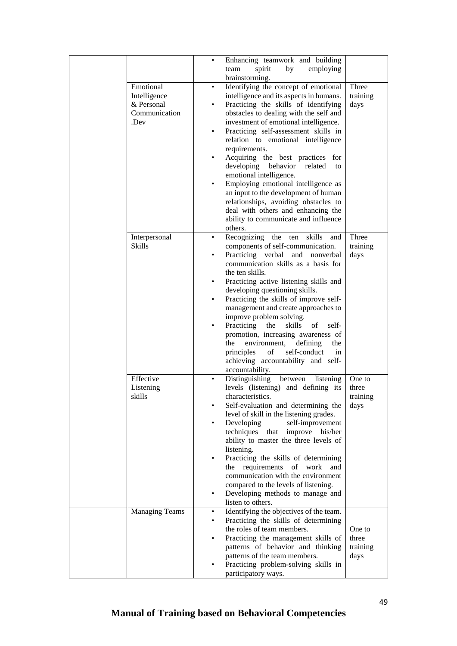|                                         | $\bullet$ | Enhancing teamwork and building<br>team<br>spirit<br>by<br>employing<br>brainstorming.                                        |                           |
|-----------------------------------------|-----------|-------------------------------------------------------------------------------------------------------------------------------|---------------------------|
| Emotional<br>Intelligence<br>& Personal | $\bullet$ | Identifying the concept of emotional<br>intelligence and its aspects in humans.<br>Practicing the skills of identifying       | Three<br>training<br>days |
| Communication<br>.Dev                   |           | obstacles to dealing with the self and<br>investment of emotional intelligence.                                               |                           |
|                                         | ٠         | Practicing self-assessment skills in<br>relation to emotional intelligence                                                    |                           |
|                                         |           | requirements.<br>Acquiring the best practices for<br>developing<br>behavior<br>related<br>to                                  |                           |
|                                         | $\bullet$ | emotional intelligence.<br>Employing emotional intelligence as<br>an input to the development of human                        |                           |
|                                         |           | relationships, avoiding obstacles to<br>deal with others and enhancing the<br>ability to communicate and influence<br>others. |                           |
| Interpersonal                           |           | Recognizing the ten skills<br>and                                                                                             | Three                     |
| <b>Skills</b>                           | ٠         | components of self-communication.<br>Practicing verbal and nonverbal                                                          | training<br>days          |
|                                         |           | communication skills as a basis for<br>the ten skills.                                                                        |                           |
|                                         | $\bullet$ | Practicing active listening skills and                                                                                        |                           |
|                                         | $\bullet$ | developing questioning skills.<br>Practicing the skills of improve self-                                                      |                           |
|                                         |           | management and create approaches to                                                                                           |                           |
|                                         |           | improve problem solving.<br>Practicing<br>the<br>skills<br>of<br>self-                                                        |                           |
|                                         |           | promotion, increasing awareness of<br>the<br>environment,<br>defining<br>the                                                  |                           |
|                                         |           | self-conduct<br>principles<br>of<br>in<br>achieving accountability and self-<br>accountability.                               |                           |
| Effective                               | $\bullet$ | Distinguishing between<br>listening                                                                                           | One to                    |
| Listening<br>skills                     |           | levels (listening) and defining its<br>characteristics.                                                                       | three<br>training         |
|                                         |           | Self-evaluation and determining the                                                                                           | days                      |
|                                         | $\bullet$ | level of skill in the listening grades.<br>Developing<br>self-improvement                                                     |                           |
|                                         |           | techniques that<br>improve his/her<br>ability to master the three levels of                                                   |                           |
|                                         | ٠         | listening.<br>Practicing the skills of determining                                                                            |                           |
|                                         |           | the requirements of work<br>and                                                                                               |                           |
|                                         |           | communication with the environment<br>compared to the levels of listening.                                                    |                           |
|                                         | $\bullet$ | Developing methods to manage and<br>listen to others.                                                                         |                           |
| <b>Managing Teams</b>                   | $\bullet$ | Identifying the objectives of the team.                                                                                       |                           |
|                                         | $\bullet$ | Practicing the skills of determining<br>the roles of team members.                                                            | One to                    |
|                                         | ٠         | Practicing the management skills of                                                                                           | three                     |
|                                         |           | patterns of behavior and thinking<br>patterns of the team members.                                                            | training<br>days          |
|                                         |           | Practicing problem-solving skills in                                                                                          |                           |
|                                         |           | participatory ways.                                                                                                           |                           |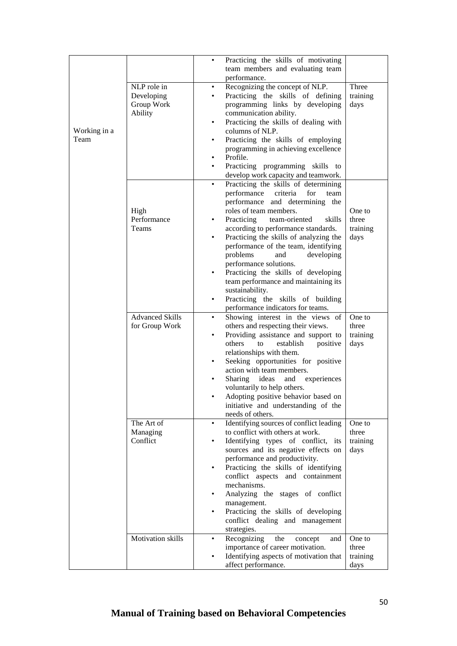|              |                        | Practicing the skills of motivating<br>$\bullet$     |          |
|--------------|------------------------|------------------------------------------------------|----------|
|              |                        | team members and evaluating team                     |          |
|              |                        | performance.                                         |          |
|              |                        |                                                      |          |
|              | NLP role in            | Recognizing the concept of NLP.<br>٠                 | Three    |
|              | Developing             | Practicing the skills of defining                    | training |
|              | Group Work             | programming links by developing                      | days     |
|              | Ability                | communication ability.                               |          |
|              |                        | Practicing the skills of dealing with<br>$\bullet$   |          |
| Working in a |                        | columns of NLP.                                      |          |
| Team         |                        | Practicing the skills of employing<br>$\bullet$      |          |
|              |                        | programming in achieving excellence                  |          |
|              |                        | Profile.<br>$\bullet$                                |          |
|              |                        | Practicing programming skills to                     |          |
|              |                        | develop work capacity and teamwork.                  |          |
|              |                        | Practicing the skills of determining<br>$\bullet$    |          |
|              |                        | performance<br>criteria<br>for<br>team               |          |
|              |                        | performance and determining the                      |          |
|              |                        |                                                      |          |
|              | High                   | roles of team members.                               | One to   |
|              | Performance            | Practicing<br>team-oriented<br>skills                | three    |
|              | Teams                  | according to performance standards.                  | training |
|              |                        | Practicing the skills of analyzing the<br>$\bullet$  | days     |
|              |                        | performance of the team, identifying                 |          |
|              |                        | problems<br>developing<br>and                        |          |
|              |                        | performance solutions.                               |          |
|              |                        | Practicing the skills of developing<br>$\bullet$     |          |
|              |                        | team performance and maintaining its                 |          |
|              |                        | sustainability.                                      |          |
|              |                        | Practicing the skills of building                    |          |
|              |                        | performance indicators for teams.                    |          |
|              | <b>Advanced Skills</b> | Showing interest in the views of                     | One to   |
|              | for Group Work         | others and respecting their views.                   | three    |
|              |                        | Providing assistance and support to                  | training |
|              |                        | others<br>establish                                  |          |
|              |                        | to<br>positive                                       | days     |
|              |                        | relationships with them.                             |          |
|              |                        | Seeking opportunities for positive                   |          |
|              |                        | action with team members.                            |          |
|              |                        | Sharing ideas<br>experiences<br>and<br>$\bullet$     |          |
|              |                        | voluntarily to help others.                          |          |
|              |                        | Adopting positive behavior based on                  |          |
|              |                        | initiative and understanding of the                  |          |
|              |                        | needs of others.                                     |          |
|              | The Art of             | Identifying sources of conflict leading<br>$\bullet$ | One to   |
|              | Managing               | to conflict with others at work.                     | three    |
|              | Conflict               | Identifying types of conflict, its                   | training |
|              |                        | sources and its negative effects on                  | days     |
|              |                        | performance and productivity.                        |          |
|              |                        | Practicing the skills of identifying                 |          |
|              |                        | conflict aspects and containment                     |          |
|              |                        | mechanisms.                                          |          |
|              |                        | Analyzing the stages of conflict<br>٠                |          |
|              |                        |                                                      |          |
|              |                        | management.                                          |          |
|              |                        | Practicing the skills of developing<br>$\bullet$     |          |
|              |                        | conflict dealing and management                      |          |
|              |                        | strategies.                                          |          |
|              | Motivation skills      | Recognizing<br>the<br>concept<br>and<br>٠            | One to   |
|              |                        | importance of career motivation.                     | three    |
|              |                        | Identifying aspects of motivation that               | training |
|              |                        | affect performance.                                  | days     |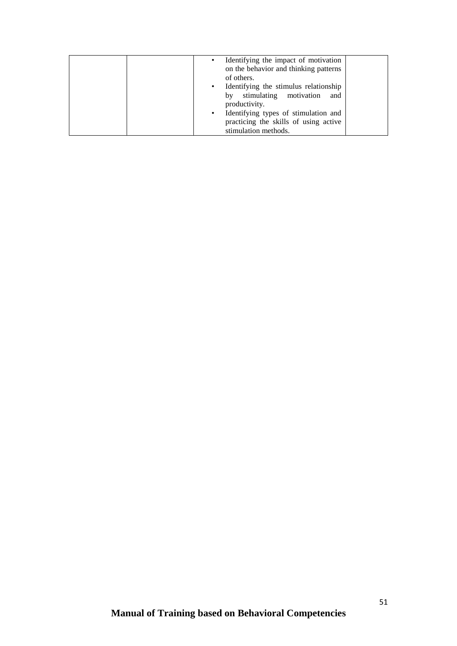| Identifying the impact of motivation<br>$\bullet$<br>on the behavior and thinking patterns<br>of others. |  |
|----------------------------------------------------------------------------------------------------------|--|
| Identifying the stimulus relationship<br>$\bullet$                                                       |  |
| stimulating motivation and<br>by<br>productivity.                                                        |  |
| Identifying types of stimulation and<br>$\bullet$<br>practicing the skills of using active               |  |
| stimulation methods.                                                                                     |  |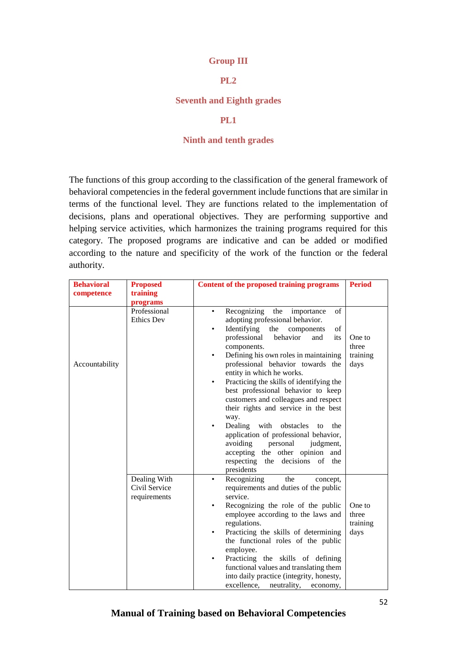#### **Group III**

## **PL2**

#### **Seventh and Eighth grades**

#### **PL1**

#### **Ninth and tenth grades**

The functions of this group according to the classification of the general framework of behavioral competencies in the federal government include functions that are similar in terms of the functional level. They are functions related to the implementation of decisions, plans and operational objectives. They are performing supportive and helping service activities, which harmonizes the training programs required for this category. The proposed programs are indicative and can be added or modified according to the nature and specificity of the work of the function or the federal authority.

| <b>Behavioral</b> | <b>Proposed</b>                               | Content of the proposed training programs                                                                                                                                                                                                                                                                                                                                                                                                                                                                                                                                                                                                                                                                 | <b>Period</b>                       |
|-------------------|-----------------------------------------------|-----------------------------------------------------------------------------------------------------------------------------------------------------------------------------------------------------------------------------------------------------------------------------------------------------------------------------------------------------------------------------------------------------------------------------------------------------------------------------------------------------------------------------------------------------------------------------------------------------------------------------------------------------------------------------------------------------------|-------------------------------------|
| competence        | training                                      |                                                                                                                                                                                                                                                                                                                                                                                                                                                                                                                                                                                                                                                                                                           |                                     |
|                   | programs                                      |                                                                                                                                                                                                                                                                                                                                                                                                                                                                                                                                                                                                                                                                                                           |                                     |
| Accountability    | Professional<br><b>Ethics Dev</b>             | Recognizing<br>the<br>importance<br>of<br>adopting professional behavior.<br>Identifying<br>the<br>components<br>of<br>professional<br>behavior<br>and<br>its<br>components.<br>Defining his own roles in maintaining<br>$\bullet$<br>professional behavior towards the<br>entity in which he works.<br>Practicing the skills of identifying the<br>$\bullet$<br>best professional behavior to keep<br>customers and colleagues and respect<br>their rights and service in the best<br>way.<br>Dealing<br>with<br>obstacles<br>the<br>to<br>$\bullet$<br>application of professional behavior,<br>avoiding<br>personal<br>judgment,<br>accepting the other opinion and<br>respecting the decisions of the | One to<br>three<br>training<br>days |
|                   | Dealing With<br>Civil Service<br>requirements | presidents<br>Recognizing<br>the<br>concept,<br>٠<br>requirements and duties of the public<br>service.<br>Recognizing the role of the public<br>٠<br>employee according to the laws and<br>regulations.<br>Practicing the skills of determining<br>$\bullet$<br>the functional roles of the public<br>employee.<br>Practicing the skills of defining<br>$\bullet$<br>functional values and translating them<br>into daily practice (integrity, honesty,<br>excellence,<br>neutrality,<br>economy,                                                                                                                                                                                                         | One to<br>three<br>training<br>days |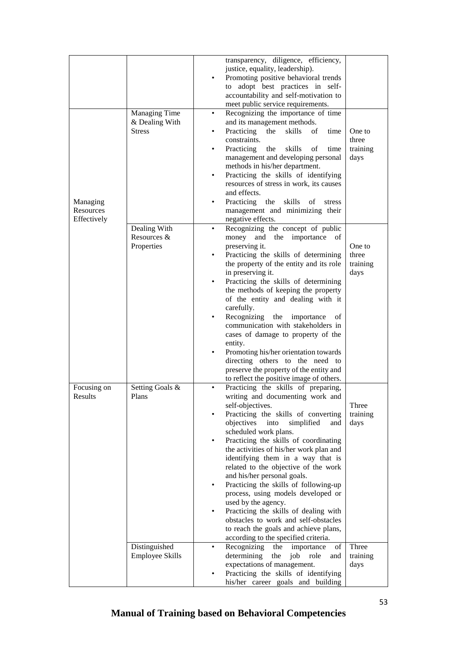|                                      |                                                  | transparency, diligence, efficiency,<br>justice, equality, leadership).<br>Promoting positive behavioral trends<br>to adopt best practices in self-<br>accountability and self-motivation to<br>meet public service requirements.                                                                                                                                                                                                                                                                                                                                                                                                                                                                                                          |                                     |
|--------------------------------------|--------------------------------------------------|--------------------------------------------------------------------------------------------------------------------------------------------------------------------------------------------------------------------------------------------------------------------------------------------------------------------------------------------------------------------------------------------------------------------------------------------------------------------------------------------------------------------------------------------------------------------------------------------------------------------------------------------------------------------------------------------------------------------------------------------|-------------------------------------|
| Managing<br>Resources<br>Effectively | Managing Time<br>& Dealing With<br><b>Stress</b> | Recognizing the importance of time<br>٠<br>and its management methods.<br>Practicing<br>skills<br>of<br>the<br>time<br>$\bullet$<br>constraints.<br>Practicing<br>the<br>skills<br>of<br>time<br>٠<br>management and developing personal<br>methods in his/her department.<br>Practicing the skills of identifying<br>$\bullet$<br>resources of stress in work, its causes<br>and effects.<br>Practicing<br>the<br>skills<br>οf<br>stress<br>management and minimizing their<br>negative effects.                                                                                                                                                                                                                                          | One to<br>three<br>training<br>days |
|                                      | Dealing With<br>Resources &<br>Properties        | Recognizing the concept of public<br>and the importance<br>money<br>of<br>preserving it.<br>Practicing the skills of determining<br>the property of the entity and its role<br>in preserving it.<br>Practicing the skills of determining<br>the methods of keeping the property<br>of the entity and dealing with it<br>carefully.<br>Recognizing<br>the<br>importance<br>οf<br>communication with stakeholders in<br>cases of damage to property of the<br>entity.<br>Promoting his/her orientation towards<br>directing others to the need to<br>preserve the property of the entity and<br>to reflect the positive image of others.                                                                                                     | One to<br>three<br>training<br>days |
| Focusing on<br>Results               | Setting Goals &<br>Plans<br>Distinguished        | Practicing the skills of preparing,<br>$\bullet$<br>writing and documenting work and<br>self-objectives.<br>Practicing the skills of converting<br>objectives<br>into<br>simplified<br>and<br>scheduled work plans.<br>Practicing the skills of coordinating<br>the activities of his/her work plan and<br>identifying them in a way that is<br>related to the objective of the work<br>and his/her personal goals.<br>Practicing the skills of following-up<br>٠<br>process, using models developed or<br>used by the agency.<br>Practicing the skills of dealing with<br>obstacles to work and self-obstacles<br>to reach the goals and achieve plans,<br>according to the specified criteria.<br>Recognizing<br>the<br>importance<br>of | Three<br>training<br>days<br>Three  |
|                                      | <b>Employee Skills</b>                           | determining<br>the<br>job<br>role<br>and<br>expectations of management.<br>Practicing the skills of identifying<br>his/her career goals and building                                                                                                                                                                                                                                                                                                                                                                                                                                                                                                                                                                                       | training<br>days                    |

# **Manual of Training based on Behavioral Competencies**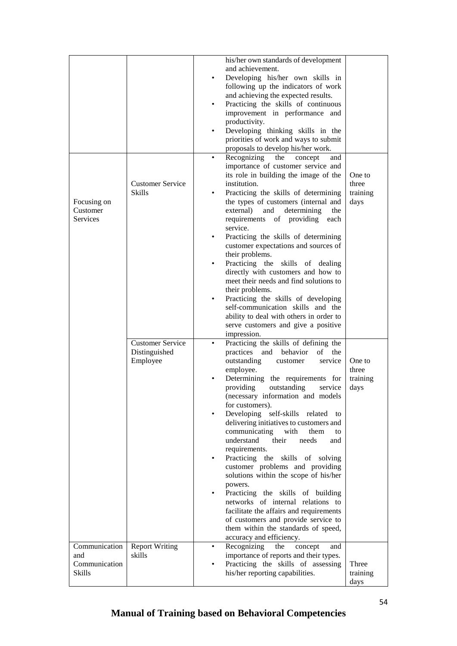|               |                         | his/her own standards of development               |          |
|---------------|-------------------------|----------------------------------------------------|----------|
|               |                         | and achievement.                                   |          |
|               |                         | Developing his/her own skills in<br>$\bullet$      |          |
|               |                         | following up the indicators of work                |          |
|               |                         | and achieving the expected results.                |          |
|               |                         | Practicing the skills of continuous<br>$\bullet$   |          |
|               |                         | improvement in performance and                     |          |
|               |                         | productivity.                                      |          |
|               |                         | Developing thinking skills in the<br>$\bullet$     |          |
|               |                         | priorities of work and ways to submit              |          |
|               |                         | proposals to develop his/her work.                 |          |
|               |                         |                                                    |          |
|               |                         | Recognizing<br>the<br>concept<br>$\bullet$<br>and  |          |
|               |                         | importance of customer service and                 |          |
|               |                         | its role in building the image of the              | One to   |
|               | <b>Customer Service</b> | institution.                                       | three    |
|               | Skills                  | Practicing the skills of determining               | training |
| Focusing on   |                         | the types of customers (internal and               | days     |
| Customer      |                         | external)<br>and<br>determining<br>the             |          |
| Services      |                         | requirements of providing<br>each                  |          |
|               |                         | service.                                           |          |
|               |                         | Practicing the skills of determining               |          |
|               |                         | customer expectations and sources of               |          |
|               |                         | their problems.                                    |          |
|               |                         | Practicing the skills of dealing<br>$\bullet$      |          |
|               |                         | directly with customers and how to                 |          |
|               |                         | meet their needs and find solutions to             |          |
|               |                         | their problems.                                    |          |
|               |                         | Practicing the skills of developing<br>$\bullet$   |          |
|               |                         | self-communication skills and the                  |          |
|               |                         | ability to deal with others in order to            |          |
|               |                         | serve customers and give a positive                |          |
|               |                         | impression.                                        |          |
|               | <b>Customer Service</b> | Practicing the skills of defining the<br>$\bullet$ |          |
|               | Distinguished           | practices and behavior<br>of the                   |          |
|               | Employee                | outstanding<br>service<br>customer                 | One to   |
|               |                         | employee.                                          | three    |
|               |                         | Determining the requirements for                   | training |
|               |                         | providing<br>outstanding<br>service                | days     |
|               |                         | (necessary information and models                  |          |
|               |                         | for customers).                                    |          |
|               |                         | Developing self-skills related<br>to               |          |
|               |                         | delivering initiatives to customers and            |          |
|               |                         | communicating<br>with<br>them<br>to                |          |
|               |                         | understand<br>their<br>needs<br>and                |          |
|               |                         | requirements.                                      |          |
|               |                         | Practicing the skills of solving<br>$\bullet$      |          |
|               |                         | customer problems and providing                    |          |
|               |                         | solutions within the scope of his/her              |          |
|               |                         | powers.                                            |          |
|               |                         | Practicing the skills of building<br>$\bullet$     |          |
|               |                         | networks of internal relations to                  |          |
|               |                         | facilitate the affairs and requirements            |          |
|               |                         | of customers and provide service to                |          |
|               |                         | them within the standards of speed,                |          |
|               |                         |                                                    |          |
|               |                         | accuracy and efficiency.                           |          |
| Communication | <b>Report Writing</b>   | Recognizing<br>the<br>concept<br>and<br>$\bullet$  |          |
| and           | skills                  | importance of reports and their types.             |          |
| Communication |                         | Practicing the skills of assessing                 | Three    |
| <b>Skills</b> |                         | his/her reporting capabilities.                    | training |
|               |                         |                                                    | days     |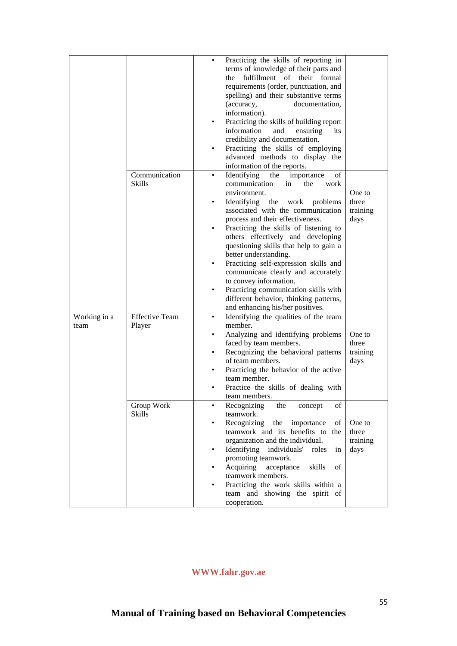|              |                       | ٠         | Practicing the skills of reporting in      |          |
|--------------|-----------------------|-----------|--------------------------------------------|----------|
|              |                       |           | terms of knowledge of their parts and      |          |
|              |                       |           | fulfillment of their formal<br>the         |          |
|              |                       |           |                                            |          |
|              |                       |           | requirements (order, punctuation, and      |          |
|              |                       |           | spelling) and their substantive terms      |          |
|              |                       |           | documentation,<br>(accuracy,               |          |
|              |                       |           | information).                              |          |
|              |                       | ٠         | Practicing the skills of building report   |          |
|              |                       |           | information<br>and<br>ensuring<br>its      |          |
|              |                       |           |                                            |          |
|              |                       |           | credibility and documentation.             |          |
|              |                       | ٠         | Practicing the skills of employing         |          |
|              |                       |           | advanced methods to display the            |          |
|              |                       |           | information of the reports.                |          |
|              | Communication         | $\bullet$ | Identifying<br>the<br>οf<br>importance     |          |
|              | <b>Skills</b>         |           | communication<br>the<br>in<br>work         |          |
|              |                       |           |                                            |          |
|              |                       |           | environment.                               | One to   |
|              |                       |           | Identifying<br>the<br>work<br>problems     | three    |
|              |                       |           | associated with the communication          | training |
|              |                       |           | process and their effectiveness.           | days     |
|              |                       |           | Practicing the skills of listening to      |          |
|              |                       |           | others effectively and developing          |          |
|              |                       |           | questioning skills that help to gain a     |          |
|              |                       |           |                                            |          |
|              |                       |           | better understanding.                      |          |
|              |                       | ٠         | Practicing self-expression skills and      |          |
|              |                       |           | communicate clearly and accurately         |          |
|              |                       |           | to convey information.                     |          |
|              |                       | ٠         | Practicing communication skills with       |          |
|              |                       |           | different behavior, thinking patterns,     |          |
|              |                       |           | and enhancing his/her positives.           |          |
|              | <b>Effective Team</b> |           |                                            |          |
| Working in a |                       | ٠         | Identifying the qualities of the team      |          |
| team         | Player                |           | member.                                    |          |
|              |                       |           | Analyzing and identifying problems         | One to   |
|              |                       |           | faced by team members.                     | three    |
|              |                       | $\bullet$ | Recognizing the behavioral patterns        | training |
|              |                       |           | of team members.                           | days     |
|              |                       | ٠         | Practicing the behavior of the active      |          |
|              |                       |           | team member.                               |          |
|              |                       |           |                                            |          |
|              |                       |           | Practice the skills of dealing with        |          |
|              |                       |           | team members.                              |          |
|              | Group Work            |           | Recognizing<br>the<br>οf<br>concept        |          |
|              | <b>Skills</b>         |           | teamwork.                                  |          |
|              |                       |           | Recognizing<br>the<br>importance<br>οf     | One to   |
|              |                       |           | teamwork and its benefits to<br>the        | three    |
|              |                       |           | organization and the individual.           | training |
|              |                       | ٠         | Identifying<br>individuals'<br>roles<br>in | days     |
|              |                       |           | promoting teamwork.                        |          |
|              |                       |           |                                            |          |
|              |                       |           | Acquiring<br>acceptance<br>skills<br>οf    |          |
|              |                       |           | teamwork members.                          |          |
|              |                       |           | Practicing the work skills within a        |          |
|              |                       |           | team and showing the spirit of             |          |
|              |                       |           | cooperation.                               |          |

# **WWW.fahr.gov.ae**